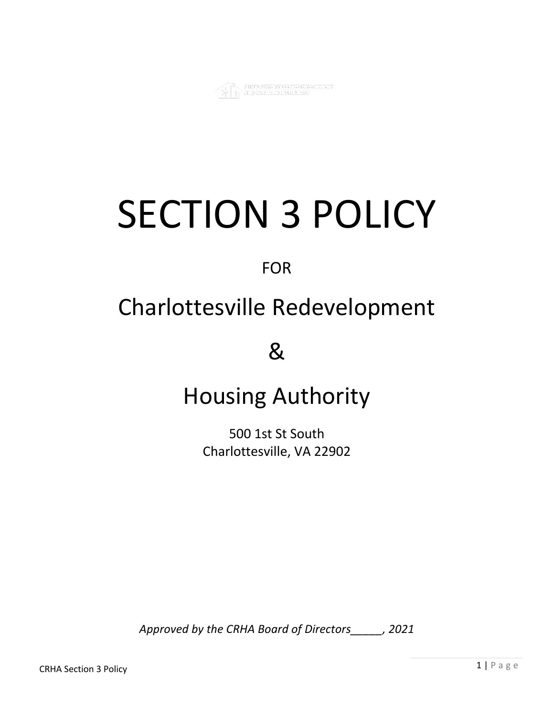

# SECTION 3 POLICY

FOR

# Charlottesville Redevelopment

&

# Housing Authority

500 1st St South Charlottesville, VA 22902

*Approved by the CRHA Board of Directors\_\_\_\_\_, 2021*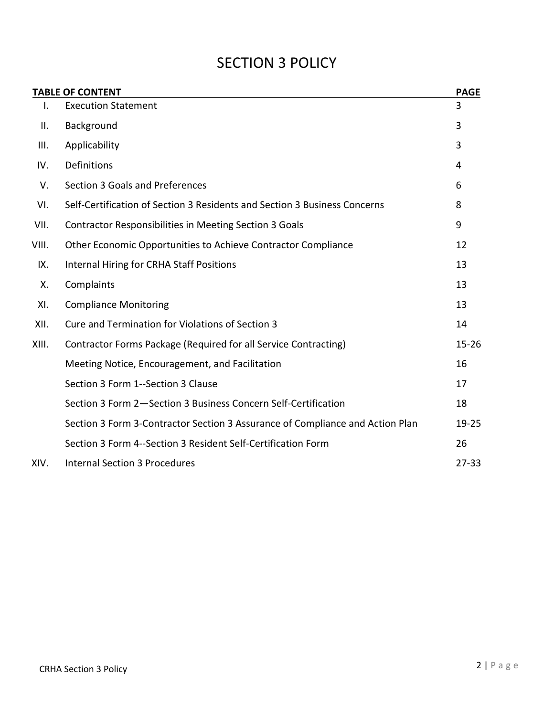### SECTION 3 POLICY

|       | <b>TABLE OF CONTENT</b>                                                       | <b>PAGE</b> |
|-------|-------------------------------------------------------------------------------|-------------|
| I.    | <b>Execution Statement</b>                                                    | 3           |
| Ш.    | Background                                                                    | 3           |
| III.  | Applicability                                                                 | 3           |
| IV.   | Definitions                                                                   | 4           |
| V.    | Section 3 Goals and Preferences                                               | 6           |
| VI.   | Self-Certification of Section 3 Residents and Section 3 Business Concerns     | 8           |
| VII.  | <b>Contractor Responsibilities in Meeting Section 3 Goals</b>                 | 9           |
| VIII. | Other Economic Opportunities to Achieve Contractor Compliance                 | 12          |
| IX.   | <b>Internal Hiring for CRHA Staff Positions</b>                               | 13          |
| Χ.    | Complaints                                                                    | 13          |
| XI.   | <b>Compliance Monitoring</b>                                                  | 13          |
| XII.  | Cure and Termination for Violations of Section 3                              | 14          |
| XIII. | Contractor Forms Package (Required for all Service Contracting)               | $15 - 26$   |
|       | Meeting Notice, Encouragement, and Facilitation                               | 16          |
|       | Section 3 Form 1--Section 3 Clause                                            | 17          |
|       | Section 3 Form 2-Section 3 Business Concern Self-Certification                | 18          |
|       | Section 3 Form 3-Contractor Section 3 Assurance of Compliance and Action Plan | $19 - 25$   |
|       | Section 3 Form 4--Section 3 Resident Self-Certification Form                  | 26          |
| XIV.  | <b>Internal Section 3 Procedures</b>                                          | $27 - 33$   |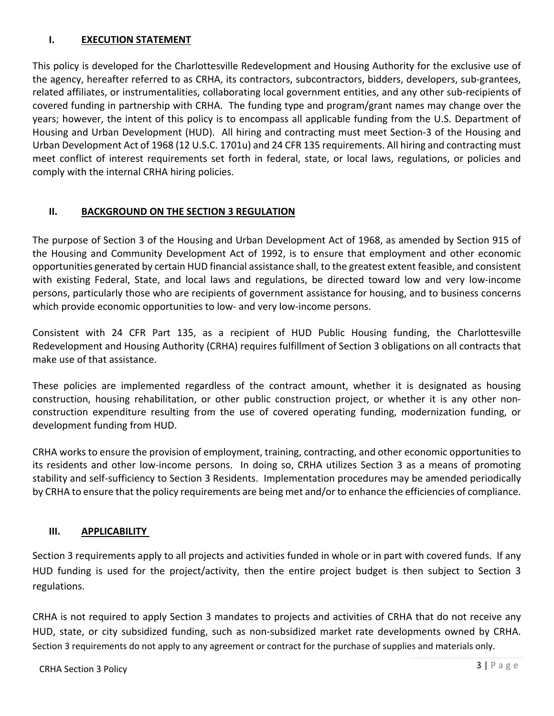#### **I. EXECUTION STATEMENT**

This policy is developed for the Charlottesville Redevelopment and Housing Authority for the exclusive use of the agency, hereafter referred to as CRHA, its contractors, subcontractors, bidders, developers, sub-grantees, related affiliates, or instrumentalities, collaborating local government entities, and any other sub-recipients of covered funding in partnership with CRHA. The funding type and program/grant names may change over the years; however, the intent of this policy is to encompass all applicable funding from the U.S. Department of Housing and Urban Development (HUD). All hiring and contracting must meet Section-3 of the Housing and Urban Development Act of 1968 (12 U.S.C. 1701u) and 24 CFR 135 requirements. All hiring and contracting must meet conflict of interest requirements set forth in federal, state, or local laws, regulations, or policies and comply with the internal CRHA hiring policies.

#### **II. BACKGROUND ON THE SECTION 3 REGULATION**

The purpose of Section 3 of the Housing and Urban Development Act of 1968, as amended by Section 915 of the Housing and Community Development Act of 1992, is to ensure that employment and other economic opportunities generated by certain HUD financial assistance shall, to the greatest extent feasible, and consistent with existing Federal, State, and local laws and regulations, be directed toward low and very low-income persons, particularly those who are recipients of government assistance for housing, and to business concerns which provide economic opportunities to low- and very low-income persons.

Consistent with 24 CFR Part 135, as a recipient of HUD Public Housing funding, the Charlottesville Redevelopment and Housing Authority (CRHA) requires fulfillment of Section 3 obligations on all contracts that make use of that assistance.

These policies are implemented regardless of the contract amount, whether it is designated as housing construction, housing rehabilitation, or other public construction project, or whether it is any other nonconstruction expenditure resulting from the use of covered operating funding, modernization funding, or development funding from HUD.

CRHA works to ensure the provision of employment, training, contracting, and other economic opportunities to its residents and other low-income persons. In doing so, CRHA utilizes Section 3 as a means of promoting stability and self-sufficiency to Section 3 Residents. Implementation procedures may be amended periodically by CRHA to ensure that the policy requirements are being met and/or to enhance the efficiencies of compliance.

#### **III. APPLICABILITY**

Section 3 requirements apply to all projects and activities funded in whole or in part with covered funds. If any HUD funding is used for the project/activity, then the entire project budget is then subject to Section 3 regulations.

CRHA is not required to apply Section 3 mandates to projects and activities of CRHA that do not receive any HUD, state, or city subsidized funding, such as non-subsidized market rate developments owned by CRHA. Section 3 requirements do not apply to any agreement or contract for the purchase of supplies and materials only.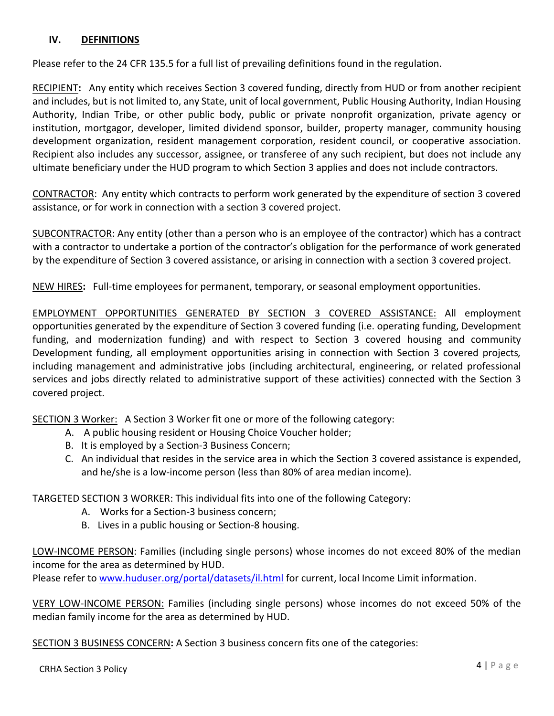#### **IV. DEFINITIONS**

Please refer to the 24 CFR 135.5 for a full list of prevailing definitions found in the regulation.

RECIPIENT**:** Any entity which receives Section 3 covered funding, directly from HUD or from another recipient and includes, but is not limited to, any State, unit of local government, Public Housing Authority, Indian Housing Authority, Indian Tribe, or other public body, public or private nonprofit organization, private agency or institution, mortgagor, developer, limited dividend sponsor, builder, property manager, community housing development organization, resident management corporation, resident council, or cooperative association. Recipient also includes any successor, assignee, or transferee of any such recipient, but does not include any ultimate beneficiary under the HUD program to which Section 3 applies and does not include contractors.

CONTRACTOR: Any entity which contracts to perform work generated by the expenditure of section 3 covered assistance, or for work in connection with a section 3 covered project.

SUBCONTRACTOR: Any entity (other than a person who is an employee of the contractor) which has a contract with a contractor to undertake a portion of the contractor's obligation for the performance of work generated by the expenditure of Section 3 covered assistance, or arising in connection with a section 3 covered project.

NEW HIRES**:** Full-time employees for permanent, temporary, or seasonal employment opportunities.

EMPLOYMENT OPPORTUNITIES GENERATED BY SECTION 3 COVERED ASSISTANCE: All employment opportunities generated by the expenditure of Section 3 covered funding (i.e. operating funding, Development funding, and modernization funding) and with respect to Section 3 covered housing and community Development funding, all employment opportunities arising in connection with Section 3 covered projects*,*  including management and administrative jobs (including architectural, engineering, or related professional services and jobs directly related to administrative support of these activities) connected with the Section 3 covered project.

SECTION 3 Worker: A Section 3 Worker fit one or more of the following category:

- A. A public housing resident or Housing Choice Voucher holder;
- B. It is employed by a Section-3 Business Concern;
- C. An individual that resides in the service area in which the Section 3 covered assistance is expended, and he/she is a low-income person (less than 80% of area median income).

TARGETED SECTION 3 WORKER: This individual fits into one of the following Category:

- A. Works for a Section-3 business concern;
- B. Lives in a public housing or Section-8 housing.

LOW-INCOME PERSON: Families (including single persons) whose incomes do not exceed 80% of the median income for the area as determined by HUD.

Please refer to www.huduser.org/portal/datasets/il.html for current, local Income Limit information.

VERY LOW-INCOME PERSON: Families (including single persons) whose incomes do not exceed 50% of the median family income for the area as determined by HUD.

SECTION 3 BUSINESS CONCERN**:** A Section 3 business concern fits one of the categories: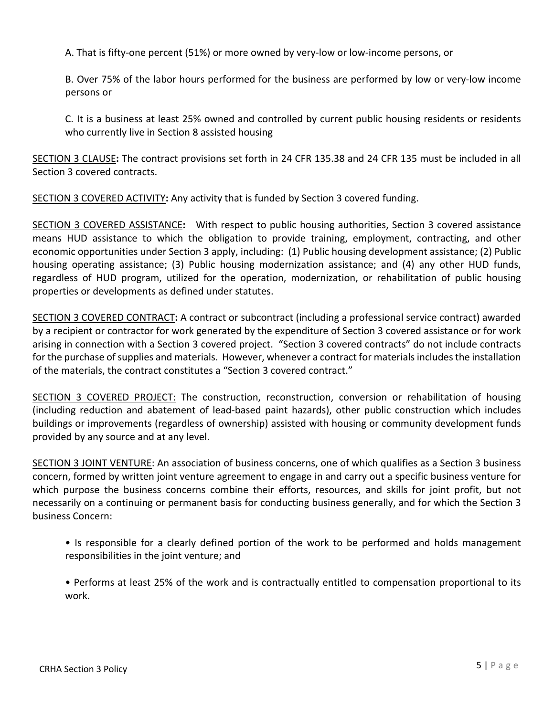A. That is fifty-one percent (51%) or more owned by very-low or low-income persons, or

B. Over 75% of the labor hours performed for the business are performed by low or very-low income persons or

C. It is a business at least 25% owned and controlled by current public housing residents or residents who currently live in Section 8 assisted housing

SECTION 3 CLAUSE**:** The contract provisions set forth in 24 CFR 135.38 and 24 CFR 135 must be included in all Section 3 covered contracts.

SECTION 3 COVERED ACTIVITY**:** Any activity that is funded by Section 3 covered funding.

SECTION 3 COVERED ASSISTANCE**:** With respect to public housing authorities, Section 3 covered assistance means HUD assistance to which the obligation to provide training, employment, contracting, and other economic opportunities under Section 3 apply, including: (1) Public housing development assistance; (2) Public housing operating assistance; (3) Public housing modernization assistance; and (4) any other HUD funds, regardless of HUD program, utilized for the operation, modernization, or rehabilitation of public housing properties or developments as defined under statutes.

SECTION 3 COVERED CONTRACT**:** A contract or subcontract (including a professional service contract) awarded by a recipient or contractor for work generated by the expenditure of Section 3 covered assistance or for work arising in connection with a Section 3 covered project. "Section 3 covered contracts" do not include contracts for the purchase of supplies and materials. However, whenever a contract for materials includes the installation of the materials, the contract constitutes a "Section 3 covered contract."

SECTION 3 COVERED PROJECT: The construction, reconstruction, conversion or rehabilitation of housing (including reduction and abatement of lead-based paint hazards), other public construction which includes buildings or improvements (regardless of ownership) assisted with housing or community development funds provided by any source and at any level.

SECTION 3 JOINT VENTURE: An association of business concerns, one of which qualifies as a Section 3 business concern, formed by written joint venture agreement to engage in and carry out a specific business venture for which purpose the business concerns combine their efforts, resources, and skills for joint profit, but not necessarily on a continuing or permanent basis for conducting business generally, and for which the Section 3 business Concern:

- Is responsible for a clearly defined portion of the work to be performed and holds management responsibilities in the joint venture; and
- Performs at least 25% of the work and is contractually entitled to compensation proportional to its work.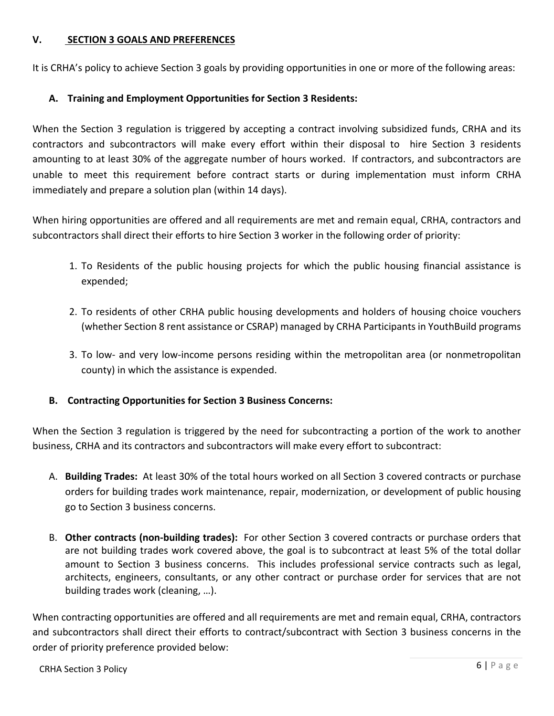#### **V. SECTION 3 GOALS AND PREFERENCES**

It is CRHA's policy to achieve Section 3 goals by providing opportunities in one or more of the following areas:

#### **A. Training and Employment Opportunities for Section 3 Residents:**

When the Section 3 regulation is triggered by accepting a contract involving subsidized funds, CRHA and its contractors and subcontractors will make every effort within their disposal to hire Section 3 residents amounting to at least 30% of the aggregate number of hours worked. If contractors, and subcontractors are unable to meet this requirement before contract starts or during implementation must inform CRHA immediately and prepare a solution plan (within 14 days).

When hiring opportunities are offered and all requirements are met and remain equal, CRHA, contractors and subcontractors shall direct their efforts to hire Section 3 worker in the following order of priority:

- 1. To Residents of the public housing projects for which the public housing financial assistance is expended;
- 2. To residents of other CRHA public housing developments and holders of housing choice vouchers (whether Section 8 rent assistance or CSRAP) managed by CRHA Participants in YouthBuild programs
- 3. To low- and very low-income persons residing within the metropolitan area (or nonmetropolitan county) in which the assistance is expended.
- **B. Contracting Opportunities for Section 3 Business Concerns:**

When the Section 3 regulation is triggered by the need for subcontracting a portion of the work to another business, CRHA and its contractors and subcontractors will make every effort to subcontract:

- A. **Building Trades:** At least 30% of the total hours worked on all Section 3 covered contracts or purchase orders for building trades work maintenance, repair, modernization, or development of public housing go to Section 3 business concerns.
- B. **Other contracts (non-building trades):** For other Section 3 covered contracts or purchase orders that are not building trades work covered above, the goal is to subcontract at least 5% of the total dollar amount to Section 3 business concerns. This includes professional service contracts such as legal, architects, engineers, consultants, or any other contract or purchase order for services that are not building trades work (cleaning, …).

When contracting opportunities are offered and all requirements are met and remain equal, CRHA, contractors and subcontractors shall direct their efforts to contract/subcontract with Section 3 business concerns in the order of priority preference provided below: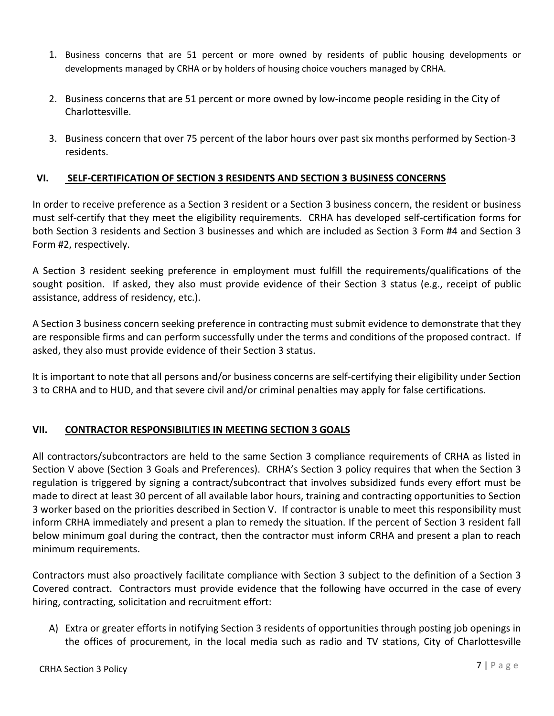- 1. Business concerns that are 51 percent or more owned by residents of public housing developments or developments managed by CRHA or by holders of housing choice vouchers managed by CRHA.
- 2. Business concerns that are 51 percent or more owned by low-income people residing in the City of Charlottesville.
- 3. Business concern that over 75 percent of the labor hours over past six months performed by Section-3 residents.

#### **VI. SELF-CERTIFICATION OF SECTION 3 RESIDENTS AND SECTION 3 BUSINESS CONCERNS**

In order to receive preference as a Section 3 resident or a Section 3 business concern, the resident or business must self-certify that they meet the eligibility requirements. CRHA has developed self-certification forms for both Section 3 residents and Section 3 businesses and which are included as Section 3 Form #4 and Section 3 Form #2, respectively.

A Section 3 resident seeking preference in employment must fulfill the requirements/qualifications of the sought position. If asked, they also must provide evidence of their Section 3 status (e.g., receipt of public assistance, address of residency, etc.).

A Section 3 business concern seeking preference in contracting must submit evidence to demonstrate that they are responsible firms and can perform successfully under the terms and conditions of the proposed contract. If asked, they also must provide evidence of their Section 3 status.

It is important to note that all persons and/or business concerns are self-certifying their eligibility under Section 3 to CRHA and to HUD, and that severe civil and/or criminal penalties may apply for false certifications.

#### **VII. CONTRACTOR RESPONSIBILITIES IN MEETING SECTION 3 GOALS**

All contractors/subcontractors are held to the same Section 3 compliance requirements of CRHA as listed in Section V above (Section 3 Goals and Preferences). CRHA's Section 3 policy requires that when the Section 3 regulation is triggered by signing a contract/subcontract that involves subsidized funds every effort must be made to direct at least 30 percent of all available labor hours, training and contracting opportunities to Section 3 worker based on the priorities described in Section V. If contractor is unable to meet this responsibility must inform CRHA immediately and present a plan to remedy the situation. If the percent of Section 3 resident fall below minimum goal during the contract, then the contractor must inform CRHA and present a plan to reach minimum requirements.

Contractors must also proactively facilitate compliance with Section 3 subject to the definition of a Section 3 Covered contract. Contractors must provide evidence that the following have occurred in the case of every hiring, contracting, solicitation and recruitment effort:

A) Extra or greater efforts in notifying Section 3 residents of opportunities through posting job openings in the offices of procurement, in the local media such as radio and TV stations, City of Charlottesville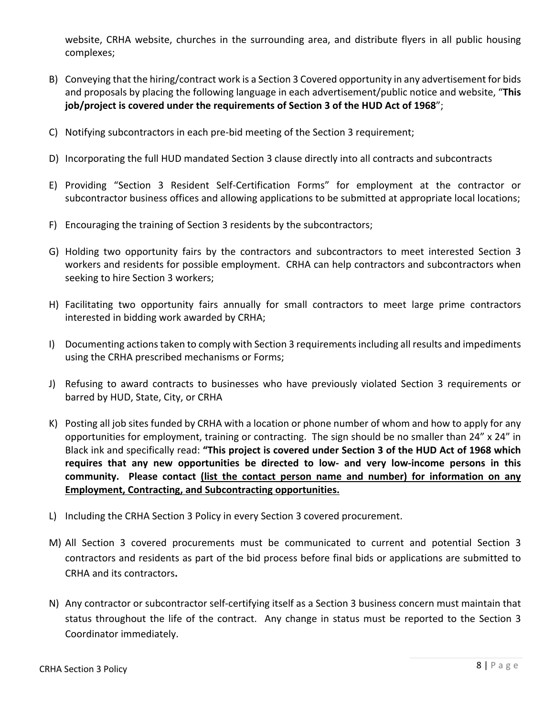website, CRHA website, churches in the surrounding area, and distribute flyers in all public housing complexes;

- B) Conveying that the hiring/contract work is a Section 3 Covered opportunity in any advertisement for bids and proposals by placing the following language in each advertisement/public notice and website, "**This job/project is covered under the requirements of Section 3 of the HUD Act of 1968**";
- C) Notifying subcontractors in each pre-bid meeting of the Section 3 requirement;
- D) Incorporating the full HUD mandated Section 3 clause directly into all contracts and subcontracts
- E) Providing "Section 3 Resident Self-Certification Forms" for employment at the contractor or subcontractor business offices and allowing applications to be submitted at appropriate local locations;
- F) Encouraging the training of Section 3 residents by the subcontractors;
- G) Holding two opportunity fairs by the contractors and subcontractors to meet interested Section 3 workers and residents for possible employment. CRHA can help contractors and subcontractors when seeking to hire Section 3 workers;
- H) Facilitating two opportunity fairs annually for small contractors to meet large prime contractors interested in bidding work awarded by CRHA;
- I) Documenting actions taken to comply with Section 3 requirementsincluding all results and impediments using the CRHA prescribed mechanisms or Forms;
- J) Refusing to award contracts to businesses who have previously violated Section 3 requirements or barred by HUD, State, City, or CRHA
- K) Posting all job sites funded by CRHA with a location or phone number of whom and how to apply for any opportunities for employment, training or contracting. The sign should be no smaller than 24" x 24" in Black ink and specifically read: **"This project is covered under Section 3 of the HUD Act of 1968 which requires that any new opportunities be directed to low- and very low-income persons in this community. Please contact (list the contact person name and number) for information on any Employment, Contracting, and Subcontracting opportunities.**
- L) Including the CRHA Section 3 Policy in every Section 3 covered procurement.
- M) All Section 3 covered procurements must be communicated to current and potential Section 3 contractors and residents as part of the bid process before final bids or applications are submitted to CRHA and its contractors**.**
- N) Any contractor or subcontractor self-certifying itself as a Section 3 business concern must maintain that status throughout the life of the contract. Any change in status must be reported to the Section 3 Coordinator immediately.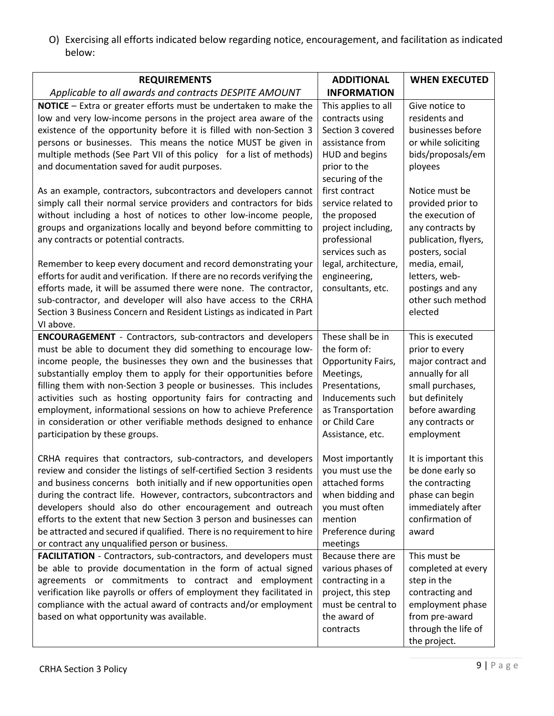O) Exercising all efforts indicated below regarding notice, encouragement, and facilitation as indicated below:

| <b>REQUIREMENTS</b>                                                                                                                                                                                                                                                                                                                                                                                                                                                                                                                                                                                                                                                                                                                                                                             | <b>ADDITIONAL</b>                                                                                                                                                                                                                                                                    | <b>WHEN EXECUTED</b>                                                                                                                                                                                                                                   |
|-------------------------------------------------------------------------------------------------------------------------------------------------------------------------------------------------------------------------------------------------------------------------------------------------------------------------------------------------------------------------------------------------------------------------------------------------------------------------------------------------------------------------------------------------------------------------------------------------------------------------------------------------------------------------------------------------------------------------------------------------------------------------------------------------|--------------------------------------------------------------------------------------------------------------------------------------------------------------------------------------------------------------------------------------------------------------------------------------|--------------------------------------------------------------------------------------------------------------------------------------------------------------------------------------------------------------------------------------------------------|
| Applicable to all awards and contracts DESPITE AMOUNT                                                                                                                                                                                                                                                                                                                                                                                                                                                                                                                                                                                                                                                                                                                                           | <b>INFORMATION</b>                                                                                                                                                                                                                                                                   |                                                                                                                                                                                                                                                        |
| NOTICE - Extra or greater efforts must be undertaken to make the<br>low and very low-income persons in the project area aware of the<br>existence of the opportunity before it is filled with non-Section 3<br>persons or businesses. This means the notice MUST be given in<br>multiple methods (See Part VII of this policy for a list of methods)<br>and documentation saved for audit purposes.<br>As an example, contractors, subcontractors and developers cannot<br>simply call their normal service providers and contractors for bids<br>without including a host of notices to other low-income people,<br>groups and organizations locally and beyond before committing to<br>any contracts or potential contracts.<br>Remember to keep every document and record demonstrating your | This applies to all<br>contracts using<br>Section 3 covered<br>assistance from<br><b>HUD and begins</b><br>prior to the<br>securing of the<br>first contract<br>service related to<br>the proposed<br>project including,<br>professional<br>services such as<br>legal, architecture, | Give notice to<br>residents and<br>businesses before<br>or while soliciting<br>bids/proposals/em<br>ployees<br>Notice must be<br>provided prior to<br>the execution of<br>any contracts by<br>publication, flyers,<br>posters, social<br>media, email, |
| efforts for audit and verification. If there are no records verifying the<br>efforts made, it will be assumed there were none. The contractor,<br>sub-contractor, and developer will also have access to the CRHA<br>Section 3 Business Concern and Resident Listings as indicated in Part<br>VI above.                                                                                                                                                                                                                                                                                                                                                                                                                                                                                         | engineering,<br>consultants, etc.                                                                                                                                                                                                                                                    | letters, web-<br>postings and any<br>other such method<br>elected                                                                                                                                                                                      |
| <b>ENCOURAGEMENT</b> - Contractors, sub-contractors and developers<br>must be able to document they did something to encourage low-<br>income people, the businesses they own and the businesses that<br>substantially employ them to apply for their opportunities before<br>filling them with non-Section 3 people or businesses. This includes<br>activities such as hosting opportunity fairs for contracting and<br>employment, informational sessions on how to achieve Preference<br>in consideration or other verifiable methods designed to enhance<br>participation by these groups.                                                                                                                                                                                                  | These shall be in<br>the form of:<br>Opportunity Fairs,<br>Meetings,<br>Presentations,<br>Inducements such<br>as Transportation<br>or Child Care<br>Assistance, etc.                                                                                                                 | This is executed<br>prior to every<br>major contract and<br>annually for all<br>small purchases,<br>but definitely<br>before awarding<br>any contracts or<br>employment                                                                                |
| CRHA requires that contractors, sub-contractors, and developers<br>review and consider the listings of self-certified Section 3 residents<br>and business concerns both initially and if new opportunities open<br>during the contract life. However, contractors, subcontractors and<br>developers should also do other encouragement and outreach<br>efforts to the extent that new Section 3 person and businesses can<br>be attracted and secured if qualified. There is no requirement to hire<br>or contract any unqualified person or business.                                                                                                                                                                                                                                          | Most importantly<br>you must use the<br>attached forms<br>when bidding and<br>you must often<br>mention<br>Preference during<br>meetings                                                                                                                                             | It is important this<br>be done early so<br>the contracting<br>phase can begin<br>immediately after<br>confirmation of<br>award                                                                                                                        |
| FACILITATION - Contractors, sub-contractors, and developers must<br>be able to provide documentation in the form of actual signed<br>agreements or commitments to contract and employment<br>verification like payrolls or offers of employment they facilitated in<br>compliance with the actual award of contracts and/or employment<br>based on what opportunity was available.                                                                                                                                                                                                                                                                                                                                                                                                              | Because there are<br>various phases of<br>contracting in a<br>project, this step<br>must be central to<br>the award of<br>contracts                                                                                                                                                  | This must be<br>completed at every<br>step in the<br>contracting and<br>employment phase<br>from pre-award<br>through the life of<br>the project.                                                                                                      |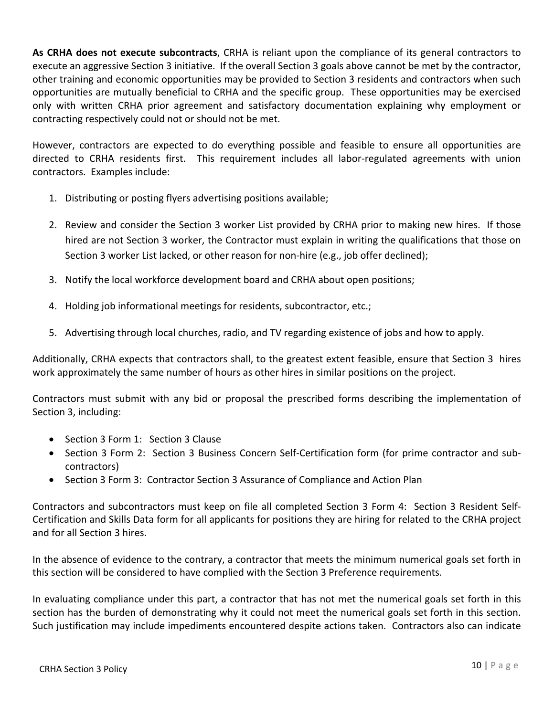**As CRHA does not execute subcontracts**, CRHA is reliant upon the compliance of its general contractors to execute an aggressive Section 3 initiative. If the overall Section 3 goals above cannot be met by the contractor, other training and economic opportunities may be provided to Section 3 residents and contractors when such opportunities are mutually beneficial to CRHA and the specific group. These opportunities may be exercised only with written CRHA prior agreement and satisfactory documentation explaining why employment or contracting respectively could not or should not be met.

However, contractors are expected to do everything possible and feasible to ensure all opportunities are directed to CRHA residents first. This requirement includes all labor-regulated agreements with union contractors. Examples include:

- 1. Distributing or posting flyers advertising positions available;
- 2. Review and consider the Section 3 worker List provided by CRHA prior to making new hires. If those hired are not Section 3 worker, the Contractor must explain in writing the qualifications that those on Section 3 worker List lacked, or other reason for non-hire (e.g., job offer declined);
- 3. Notify the local workforce development board and CRHA about open positions;
- 4. Holding job informational meetings for residents, subcontractor, etc.;
- 5. Advertising through local churches, radio, and TV regarding existence of jobs and how to apply.

Additionally, CRHA expects that contractors shall, to the greatest extent feasible, ensure that Section 3 hires work approximately the same number of hours as other hires in similar positions on the project.

Contractors must submit with any bid or proposal the prescribed forms describing the implementation of Section 3, including:

- Section 3 Form 1: Section 3 Clause
- Section 3 Form 2: Section 3 Business Concern Self-Certification form (for prime contractor and subcontractors)
- Section 3 Form 3: Contractor Section 3 Assurance of Compliance and Action Plan

Contractors and subcontractors must keep on file all completed Section 3 Form 4: Section 3 Resident Self-Certification and Skills Data form for all applicants for positions they are hiring for related to the CRHA project and for all Section 3 hires.

In the absence of evidence to the contrary, a contractor that meets the minimum numerical goals set forth in this section will be considered to have complied with the Section 3 Preference requirements.

In evaluating compliance under this part, a contractor that has not met the numerical goals set forth in this section has the burden of demonstrating why it could not meet the numerical goals set forth in this section. Such justification may include impediments encountered despite actions taken. Contractors also can indicate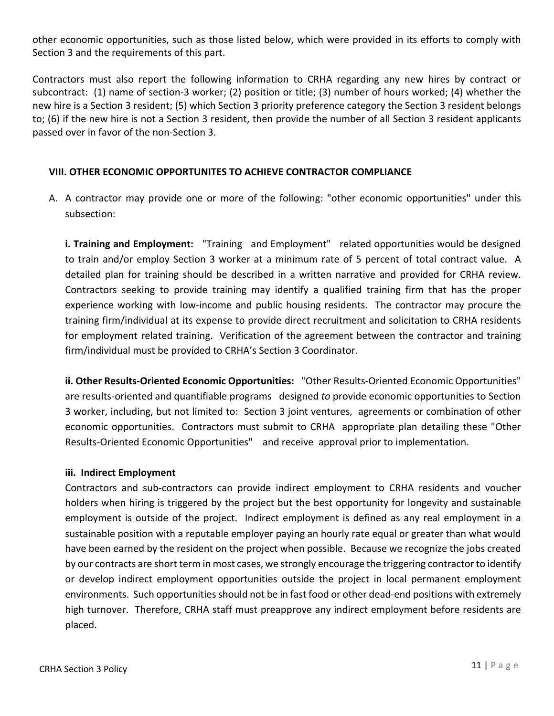other economic opportunities, such as those listed below, which were provided in its efforts to comply with Section 3 and the requirements of this part.

Contractors must also report the following information to CRHA regarding any new hires by contract or subcontract: (1) name of section-3 worker; (2) position or title; (3) number of hours worked; (4) whether the new hire is a Section 3 resident; (5) which Section 3 priority preference category the Section 3 resident belongs to; (6) if the new hire is not a Section 3 resident, then provide the number of all Section 3 resident applicants passed over in favor of the non-Section 3.

#### **VIII. OTHER ECONOMIC OPPORTUNITES TO ACHIEVE CONTRACTOR COMPLIANCE**

A. A contractor may provide one or more of the following: "other economic opportunities" under this subsection:

**i. Training and Employment:** "Training and Employment" related opportunities would be designed to train and/or employ Section 3 worker at a minimum rate of 5 percent of total contract value. A detailed plan for training should be described in a written narrative and provided for CRHA review. Contractors seeking to provide training may identify a qualified training firm that has the proper experience working with low-income and public housing residents. The contractor may procure the training firm/individual at its expense to provide direct recruitment and solicitation to CRHA residents for employment related training. Verification of the agreement between the contractor and training firm/individual must be provided to CRHA's Section 3 Coordinator.

**ii. Other Results-Oriented Economic Opportunities:** "Other Results-Oriented Economic Opportunities" are results-oriented and quantifiable programs designed *to* provide economic opportunities to Section 3 worker, including, but not limited to: Section 3 joint ventures, agreements or combination of other economic opportunities. Contractors must submit to CRHA appropriate plan detailing these "Other Results-Oriented Economic Opportunities" and receive approval prior to implementation.

#### **iii. Indirect Employment**

Contractors and sub-contractors can provide indirect employment to CRHA residents and voucher holders when hiring is triggered by the project but the best opportunity for longevity and sustainable employment is outside of the project. Indirect employment is defined as any real employment in a sustainable position with a reputable employer paying an hourly rate equal or greater than what would have been earned by the resident on the project when possible. Because we recognize the jobs created by our contracts are short term in most cases, we strongly encourage the triggering contractor to identify or develop indirect employment opportunities outside the project in local permanent employment environments. Such opportunities should not be in fast food or other dead-end positions with extremely high turnover. Therefore, CRHA staff must preapprove any indirect employment before residents are placed.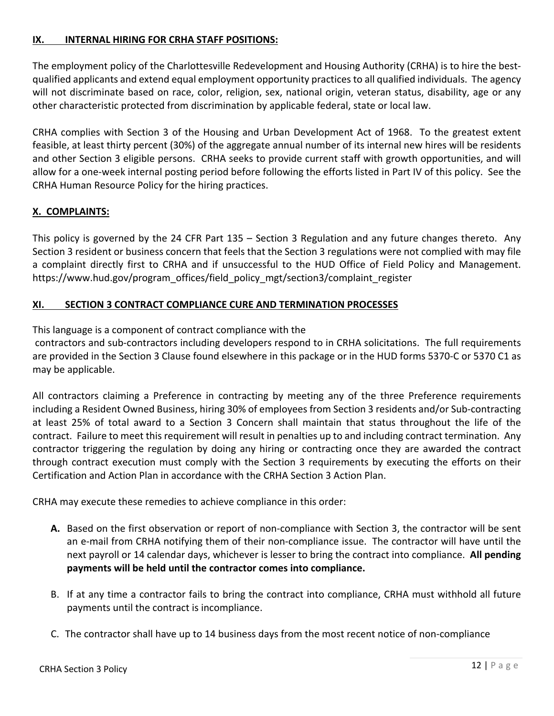#### **IX. INTERNAL HIRING FOR CRHA STAFF POSITIONS:**

The employment policy of the Charlottesville Redevelopment and Housing Authority (CRHA) is to hire the bestqualified applicants and extend equal employment opportunity practices to all qualified individuals. The agency will not discriminate based on race, color, religion, sex, national origin, veteran status, disability, age or any other characteristic protected from discrimination by applicable federal, state or local law.

CRHA complies with Section 3 of the Housing and Urban Development Act of 1968. To the greatest extent feasible, at least thirty percent (30%) of the aggregate annual number of its internal new hires will be residents and other Section 3 eligible persons. CRHA seeks to provide current staff with growth opportunities, and will allow for a one-week internal posting period before following the efforts listed in Part IV of this policy. See the CRHA Human Resource Policy for the hiring practices.

#### **X. COMPLAINTS:**

This policy is governed by the 24 CFR Part 135 – Section 3 Regulation and any future changes thereto. Any Section 3 resident or business concern that feels that the Section 3 regulations were not complied with may file a complaint directly first to CRHA and if unsuccessful to the HUD Office of Field Policy and Management. https://www.hud.gov/program\_offices/field\_policy\_mgt/section3/complaint\_register

#### **XI. SECTION 3 CONTRACT COMPLIANCE CURE AND TERMINATION PROCESSES**

This language is a component of contract compliance with the

contractors and sub-contractors including developers respond to in CRHA solicitations. The full requirements are provided in the Section 3 Clause found elsewhere in this package or in the HUD forms 5370-C or 5370 C1 as may be applicable.

All contractors claiming a Preference in contracting by meeting any of the three Preference requirements including a Resident Owned Business, hiring 30% of employees from Section 3 residents and/or Sub-contracting at least 25% of total award to a Section 3 Concern shall maintain that status throughout the life of the contract. Failure to meet this requirement will result in penalties up to and including contract termination. Any contractor triggering the regulation by doing any hiring or contracting once they are awarded the contract through contract execution must comply with the Section 3 requirements by executing the efforts on their Certification and Action Plan in accordance with the CRHA Section 3 Action Plan.

CRHA may execute these remedies to achieve compliance in this order:

- **A.** Based on the first observation or report of non-compliance with Section 3, the contractor will be sent an e-mail from CRHA notifying them of their non-compliance issue. The contractor will have until the next payroll or 14 calendar days, whichever is lesser to bring the contract into compliance. **All pending payments will be held until the contractor comes into compliance.**
- B. If at any time a contractor fails to bring the contract into compliance, CRHA must withhold all future payments until the contract is incompliance.
- C. The contractor shall have up to 14 business days from the most recent notice of non-compliance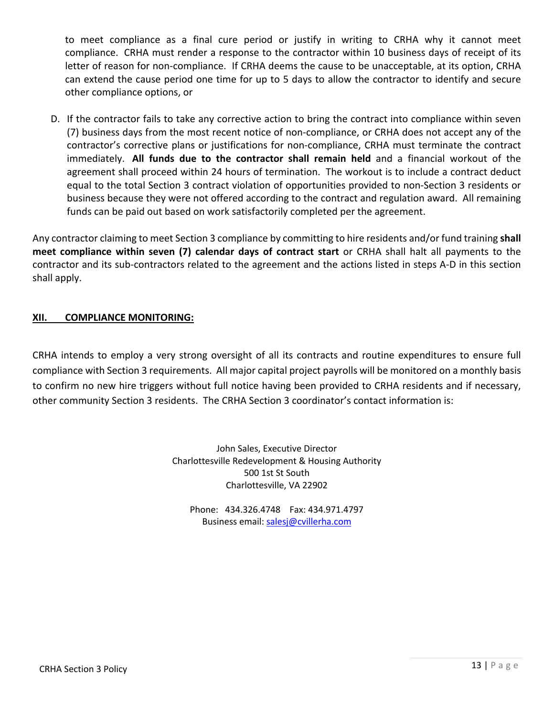to meet compliance as a final cure period or justify in writing to CRHA why it cannot meet compliance. CRHA must render a response to the contractor within 10 business days of receipt of its letter of reason for non-compliance. If CRHA deems the cause to be unacceptable, at its option, CRHA can extend the cause period one time for up to 5 days to allow the contractor to identify and secure other compliance options, or

D. If the contractor fails to take any corrective action to bring the contract into compliance within seven (7) business days from the most recent notice of non-compliance, or CRHA does not accept any of the contractor's corrective plans or justifications for non-compliance, CRHA must terminate the contract immediately. **All funds due to the contractor shall remain held** and a financial workout of the agreement shall proceed within 24 hours of termination. The workout is to include a contract deduct equal to the total Section 3 contract violation of opportunities provided to non-Section 3 residents or business because they were not offered according to the contract and regulation award. All remaining funds can be paid out based on work satisfactorily completed per the agreement.

Any contractor claiming to meet Section 3 compliance by committing to hire residents and/or fund training **shall meet compliance within seven (7) calendar days of contract start** or CRHA shall halt all payments to the contractor and its sub-contractors related to the agreement and the actions listed in steps A-D in this section shall apply.

#### **XII. COMPLIANCE MONITORING:**

CRHA intends to employ a very strong oversight of all its contracts and routine expenditures to ensure full compliance with Section 3 requirements. All major capital project payrolls will be monitored on a monthly basis to confirm no new hire triggers without full notice having been provided to CRHA residents and if necessary, other community Section 3 residents. The CRHA Section 3 coordinator's contact information is:

> John Sales, Executive Director Charlottesville Redevelopment & Housing Authority 500 1st St South Charlottesville, VA 22902

Phone: 434.326.4748 Fax: 434.971.4797 Business email: salesj@cvillerha.com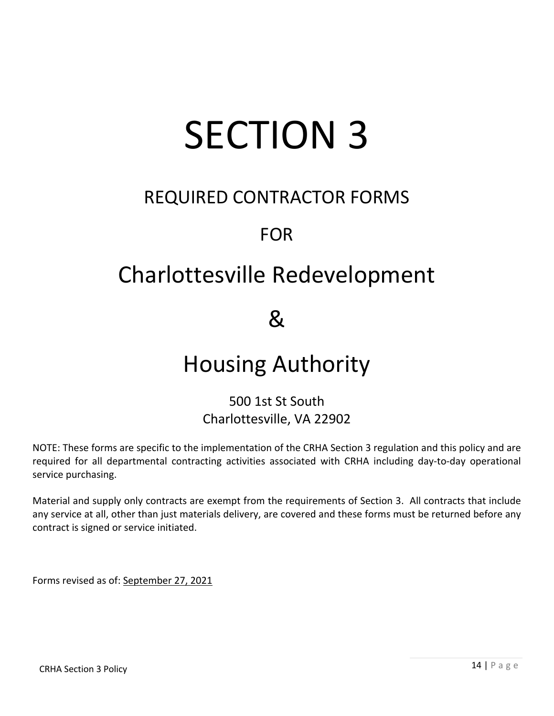# SECTION 3

## REQUIRED CONTRACTOR FORMS

## FOR

# Charlottesville Redevelopment

 $8<sub>k</sub>$ 

# Housing Authority

### 500 1st St South Charlottesville, VA 22902

NOTE: These forms are specific to the implementation of the CRHA Section 3 regulation and this policy and are required for all departmental contracting activities associated with CRHA including day-to-day operational service purchasing.

Material and supply only contracts are exempt from the requirements of Section 3. All contracts that include any service at all, other than just materials delivery, are covered and these forms must be returned before any contract is signed or service initiated.

Forms revised as of: September 27, 2021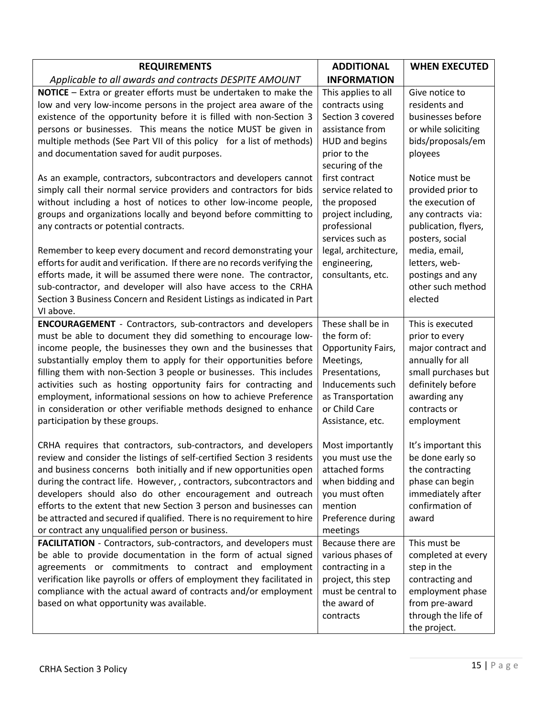| <b>REQUIREMENTS</b>                                                                                                                                                                                                                                                                                                                                                                                                                                                                                                                                                                                                                                                                                                                                                                                                                                                                                                                                                                                                         | <b>ADDITIONAL</b>                                                                                                                                                                                                                                                                                                  | <b>WHEN EXECUTED</b>                                                                                                                                                                                                                                                                                               |
|-----------------------------------------------------------------------------------------------------------------------------------------------------------------------------------------------------------------------------------------------------------------------------------------------------------------------------------------------------------------------------------------------------------------------------------------------------------------------------------------------------------------------------------------------------------------------------------------------------------------------------------------------------------------------------------------------------------------------------------------------------------------------------------------------------------------------------------------------------------------------------------------------------------------------------------------------------------------------------------------------------------------------------|--------------------------------------------------------------------------------------------------------------------------------------------------------------------------------------------------------------------------------------------------------------------------------------------------------------------|--------------------------------------------------------------------------------------------------------------------------------------------------------------------------------------------------------------------------------------------------------------------------------------------------------------------|
| Applicable to all awards and contracts DESPITE AMOUNT                                                                                                                                                                                                                                                                                                                                                                                                                                                                                                                                                                                                                                                                                                                                                                                                                                                                                                                                                                       | <b>INFORMATION</b>                                                                                                                                                                                                                                                                                                 |                                                                                                                                                                                                                                                                                                                    |
| <b>NOTICE</b> - Extra or greater efforts must be undertaken to make the<br>low and very low-income persons in the project area aware of the<br>existence of the opportunity before it is filled with non-Section 3<br>persons or businesses. This means the notice MUST be given in<br>multiple methods (See Part VII of this policy for a list of methods)<br>and documentation saved for audit purposes.<br>As an example, contractors, subcontractors and developers cannot<br>simply call their normal service providers and contractors for bids<br>without including a host of notices to other low-income people,<br>groups and organizations locally and beyond before committing to<br>any contracts or potential contracts.<br>Remember to keep every document and record demonstrating your<br>efforts for audit and verification. If there are no records verifying the<br>efforts made, it will be assumed there were none. The contractor,<br>sub-contractor, and developer will also have access to the CRHA | This applies to all<br>contracts using<br>Section 3 covered<br>assistance from<br>HUD and begins<br>prior to the<br>securing of the<br>first contract<br>service related to<br>the proposed<br>project including,<br>professional<br>services such as<br>legal, architecture,<br>engineering,<br>consultants, etc. | Give notice to<br>residents and<br>businesses before<br>or while soliciting<br>bids/proposals/em<br>ployees<br>Notice must be<br>provided prior to<br>the execution of<br>any contracts via:<br>publication, flyers,<br>posters, social<br>media, email,<br>letters, web-<br>postings and any<br>other such method |
| Section 3 Business Concern and Resident Listings as indicated in Part<br>VI above.                                                                                                                                                                                                                                                                                                                                                                                                                                                                                                                                                                                                                                                                                                                                                                                                                                                                                                                                          |                                                                                                                                                                                                                                                                                                                    | elected                                                                                                                                                                                                                                                                                                            |
| <b>ENCOURAGEMENT</b> - Contractors, sub-contractors and developers<br>must be able to document they did something to encourage low-<br>income people, the businesses they own and the businesses that<br>substantially employ them to apply for their opportunities before<br>filling them with non-Section 3 people or businesses. This includes<br>activities such as hosting opportunity fairs for contracting and<br>employment, informational sessions on how to achieve Preference<br>in consideration or other verifiable methods designed to enhance<br>participation by these groups.                                                                                                                                                                                                                                                                                                                                                                                                                              | These shall be in<br>the form of:<br>Opportunity Fairs,<br>Meetings,<br>Presentations,<br>Inducements such<br>as Transportation<br>or Child Care<br>Assistance, etc.                                                                                                                                               | This is executed<br>prior to every<br>major contract and<br>annually for all<br>small purchases but<br>definitely before<br>awarding any<br>contracts or<br>employment                                                                                                                                             |
| CRHA requires that contractors, sub-contractors, and developers<br>review and consider the listings of self-certified Section 3 residents<br>and business concerns both initially and if new opportunities open<br>during the contract life. However, , contractors, subcontractors and<br>developers should also do other encouragement and outreach<br>efforts to the extent that new Section 3 person and businesses can<br>be attracted and secured if qualified. There is no requirement to hire<br>or contract any unqualified person or business.                                                                                                                                                                                                                                                                                                                                                                                                                                                                    | Most importantly<br>you must use the<br>attached forms<br>when bidding and<br>you must often<br>mention<br>Preference during<br>meetings                                                                                                                                                                           | It's important this<br>be done early so<br>the contracting<br>phase can begin<br>immediately after<br>confirmation of<br>award                                                                                                                                                                                     |
| FACILITATION - Contractors, sub-contractors, and developers must<br>be able to provide documentation in the form of actual signed<br>agreements or commitments to contract and employment<br>verification like payrolls or offers of employment they facilitated in<br>compliance with the actual award of contracts and/or employment<br>based on what opportunity was available.                                                                                                                                                                                                                                                                                                                                                                                                                                                                                                                                                                                                                                          | Because there are<br>various phases of<br>contracting in a<br>project, this step<br>must be central to<br>the award of<br>contracts                                                                                                                                                                                | This must be<br>completed at every<br>step in the<br>contracting and<br>employment phase<br>from pre-award<br>through the life of<br>the project.                                                                                                                                                                  |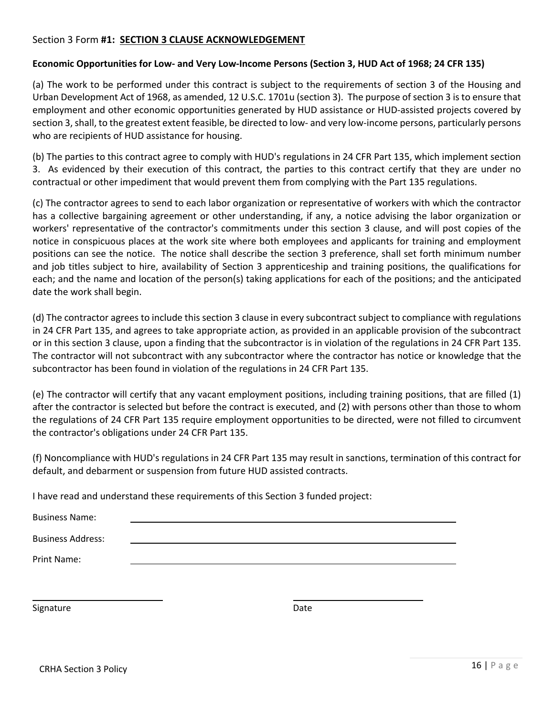#### Section 3 Form **#1: SECTION 3 CLAUSE ACKNOWLEDGEMENT**

#### **Economic Opportunities for Low- and Very Low-Income Persons (Section 3, HUD Act of 1968; 24 CFR 135)**

(a) The work to be performed under this contract is subject to the requirements of section 3 of the Housing and Urban Development Act of 1968, as amended, 12 U.S.C. 1701u (section 3). The purpose of section 3 is to ensure that employment and other economic opportunities generated by HUD assistance or HUD-assisted projects covered by section 3, shall, to the greatest extent feasible, be directed to low- and very low-income persons, particularly persons who are recipients of HUD assistance for housing.

(b) The parties to this contract agree to comply with HUD's regulations in 24 CFR Part 135, which implement section 3. As evidenced by their execution of this contract, the parties to this contract certify that they are under no contractual or other impediment that would prevent them from complying with the Part 135 regulations.

(c) The contractor agrees to send to each labor organization or representative of workers with which the contractor has a collective bargaining agreement or other understanding, if any, a notice advising the labor organization or workers' representative of the contractor's commitments under this section 3 clause, and will post copies of the notice in conspicuous places at the work site where both employees and applicants for training and employment positions can see the notice. The notice shall describe the section 3 preference, shall set forth minimum number and job titles subject to hire, availability of Section 3 apprenticeship and training positions, the qualifications for each; and the name and location of the person(s) taking applications for each of the positions; and the anticipated date the work shall begin.

(d) The contractor agrees to include this section 3 clause in every subcontract subject to compliance with regulations in 24 CFR Part 135, and agrees to take appropriate action, as provided in an applicable provision of the subcontract or in this section 3 clause, upon a finding that the subcontractor is in violation of the regulations in 24 CFR Part 135. The contractor will not subcontract with any subcontractor where the contractor has notice or knowledge that the subcontractor has been found in violation of the regulations in 24 CFR Part 135.

(e) The contractor will certify that any vacant employment positions, including training positions, that are filled (1) after the contractor is selected but before the contract is executed, and (2) with persons other than those to whom the regulations of 24 CFR Part 135 require employment opportunities to be directed, were not filled to circumvent the contractor's obligations under 24 CFR Part 135.

(f) Noncompliance with HUD's regulations in 24 CFR Part 135 may result in sanctions, termination of this contract for default, and debarment or suspension from future HUD assisted contracts.

I have read and understand these requirements of this Section 3 funded project:

| <b>Business Name:</b>    |  |      |  |
|--------------------------|--|------|--|
| <b>Business Address:</b> |  |      |  |
| Print Name:              |  |      |  |
|                          |  |      |  |
| Signature                |  | Date |  |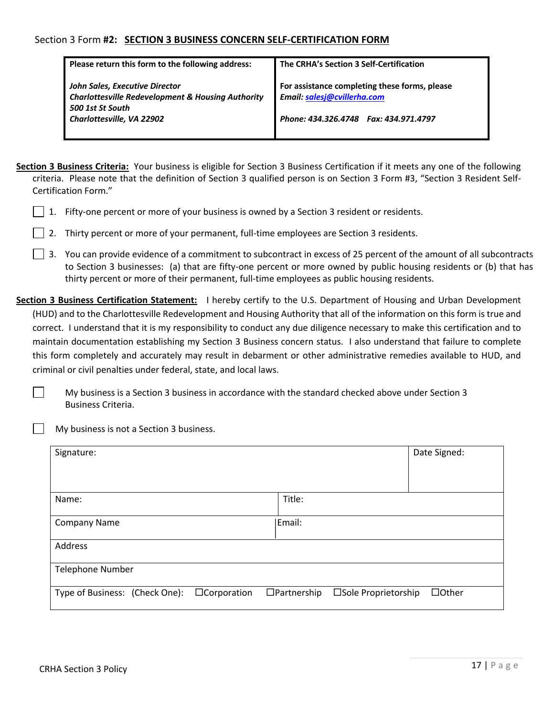#### Section 3 Form **#2: SECTION 3 BUSINESS CONCERN SELF-CERTIFICATION FORM**

| Please return this form to the following address:                                                                                               | The CRHA's Section 3 Self-Certification                                                                                |
|-------------------------------------------------------------------------------------------------------------------------------------------------|------------------------------------------------------------------------------------------------------------------------|
| John Sales, Executive Director<br><b>Charlottesville Redevelopment &amp; Housing Authority</b><br>500 1st St South<br>Charlottesville, VA 22902 | For assistance completing these forms, please<br>Email: salesj@cvillerha.com<br>Phone: 434.326.4748  Fax: 434.971.4797 |

- **Section 3 Business Criteria:** Your business is eligible for Section 3 Business Certification if it meets any one of the following criteria. Please note that the definition of Section 3 qualified person is on Section 3 Form #3, "Section 3 Resident Self-Certification Form."
	- 1. Fifty-one percent or more of your business is owned by a Section 3 resident or residents.
	- 2. Thirty percent or more of your permanent, full-time employees are Section 3 residents.
	- $\vert \ \vert$  3. You can provide evidence of a commitment to subcontract in excess of 25 percent of the amount of all subcontracts to Section 3 businesses: (a) that are fifty-one percent or more owned by public housing residents or (b) that has thirty percent or more of their permanent, full-time employees as public housing residents.
- **Section 3 Business Certification Statement:** I hereby certify to the U.S. Department of Housing and Urban Development (HUD) and to the Charlottesville Redevelopment and Housing Authority that all of the information on this form is true and correct. I understand that it is my responsibility to conduct any due diligence necessary to make this certification and to maintain documentation establishing my Section 3 Business concern status. I also understand that failure to complete this form completely and accurately may result in debarment or other administrative remedies available to HUD, and criminal or civil penalties under federal, state, and local laws.

My business is a Section 3 business in accordance with the standard checked above under Section 3 Business Criteria.

My business is not a Section 3 business.

| Signature:                                           |                                            | Date Signed: |
|------------------------------------------------------|--------------------------------------------|--------------|
| Name:                                                | Title:                                     |              |
| <b>Company Name</b>                                  | Email:                                     |              |
| Address                                              |                                            |              |
| <b>Telephone Number</b>                              |                                            |              |
| Type of Business: (Check One):<br>$\Box$ Corporation | $\Box$ Partnership<br>□Sole Proprietorship | $\Box$ Other |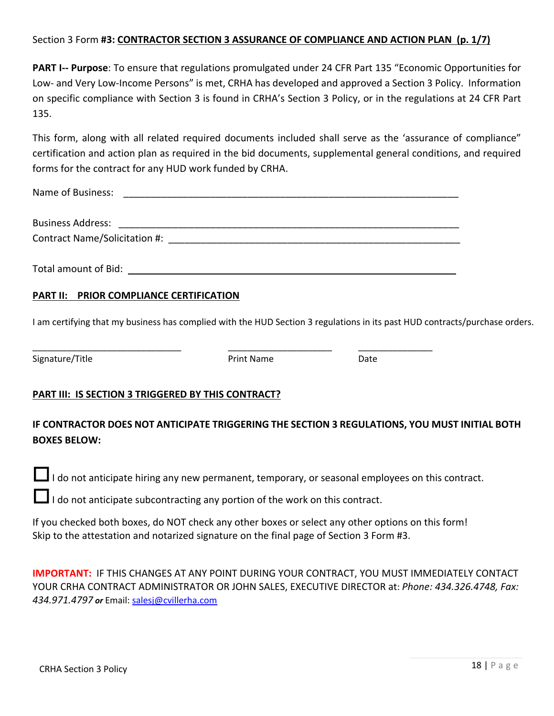#### Section 3 Form **#3: CONTRACTOR SECTION 3 ASSURANCE OF COMPLIANCE AND ACTION PLAN (p. 1/7)**

**PART I-- Purpose**: To ensure that regulations promulgated under 24 CFR Part 135 "Economic Opportunities for Low- and Very Low-Income Persons" is met, CRHA has developed and approved a Section 3 Policy. Information on specific compliance with Section 3 is found in CRHA's Section 3 Policy, or in the regulations at 24 CFR Part 135.

This form, along with all related required documents included shall serve as the 'assurance of compliance" certification and action plan as required in the bid documents, supplemental general conditions, and required forms for the contract for any HUD work funded by CRHA.

| Name of Business:             |  |  |
|-------------------------------|--|--|
| <b>Business Address:</b>      |  |  |
| Contract Name/Solicitation #: |  |  |
|                               |  |  |

Total amount of Bid:

#### **PART II: PRIOR COMPLIANCE CERTIFICATION**

I am certifying that my business has complied with the HUD Section 3 regulations in its past HUD contracts/purchase orders.

Print Name Date

\_\_\_\_\_\_\_\_\_\_\_\_\_\_\_\_\_\_\_\_\_\_\_\_\_\_\_\_\_\_ \_\_\_\_\_\_\_\_\_\_\_\_\_\_\_\_\_\_\_\_\_ \_\_\_\_\_\_\_\_\_\_\_\_\_\_\_

#### **PART III: IS SECTION 3 TRIGGERED BY THIS CONTRACT?**

#### **IF CONTRACTOR DOES NOT ANTICIPATE TRIGGERING THE SECTION 3 REGULATIONS, YOU MUST INITIAL BOTH BOXES BELOW:**

 $\Box$  I do not anticipate hiring any new permanent, temporary, or seasonal employees on this contract.

I do not anticipate subcontracting any portion of the work on this contract.

If you checked both boxes, do NOT check any other boxes or select any other options on this form! Skip to the attestation and notarized signature on the final page of Section 3 Form #3.

**IMPORTANT:** IF THIS CHANGES AT ANY POINT DURING YOUR CONTRACT, YOU MUST IMMEDIATELY CONTACT YOUR CRHA CONTRACT ADMINISTRATOR OR JOHN SALES, EXECUTIVE DIRECTOR at: *Phone: 434.326.4748, Fax: 434.971.4797 or* Email: salesj@cvillerha.com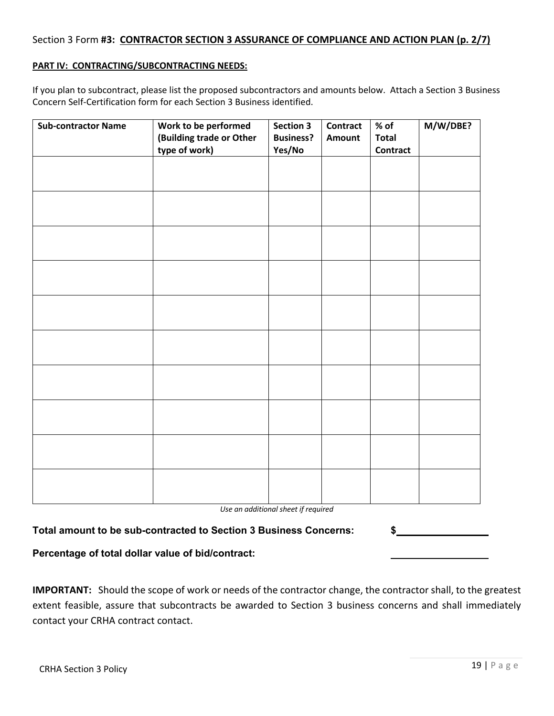#### Section 3 Form **#3: CONTRACTOR SECTION 3 ASSURANCE OF COMPLIANCE AND ACTION PLAN (p. 2/7)**

#### **PART IV: CONTRACTING/SUBCONTRACTING NEEDS:**

If you plan to subcontract, please list the proposed subcontractors and amounts below. Attach a Section 3 Business Concern Self-Certification form for each Section 3 Business identified.

| <b>Sub-contractor Name</b> | Work to be performed<br>(Building trade or Other<br>type of work) | <b>Section 3</b><br><b>Business?</b><br>Yes/No | <b>Contract</b><br>Amount | % of<br><b>Total</b><br><b>Contract</b> | M/W/DBE? |
|----------------------------|-------------------------------------------------------------------|------------------------------------------------|---------------------------|-----------------------------------------|----------|
|                            |                                                                   |                                                |                           |                                         |          |
|                            |                                                                   |                                                |                           |                                         |          |
|                            |                                                                   |                                                |                           |                                         |          |
|                            |                                                                   |                                                |                           |                                         |          |
|                            |                                                                   |                                                |                           |                                         |          |
|                            |                                                                   |                                                |                           |                                         |          |
|                            |                                                                   |                                                |                           |                                         |          |
|                            |                                                                   |                                                |                           |                                         |          |
|                            |                                                                   |                                                |                           |                                         |          |
|                            |                                                                   |                                                |                           |                                         |          |

*Use an additional sheet if required*

| Total amount to be sub-contracted to Section 3 Business Concerns: |  |  |
|-------------------------------------------------------------------|--|--|
|-------------------------------------------------------------------|--|--|

#### **Percentage of total dollar value of bid/contract:**

**IMPORTANT:** Should the scope of work or needs of the contractor change, the contractor shall, to the greatest extent feasible, assure that subcontracts be awarded to Section 3 business concerns and shall immediately contact your CRHA contract contact.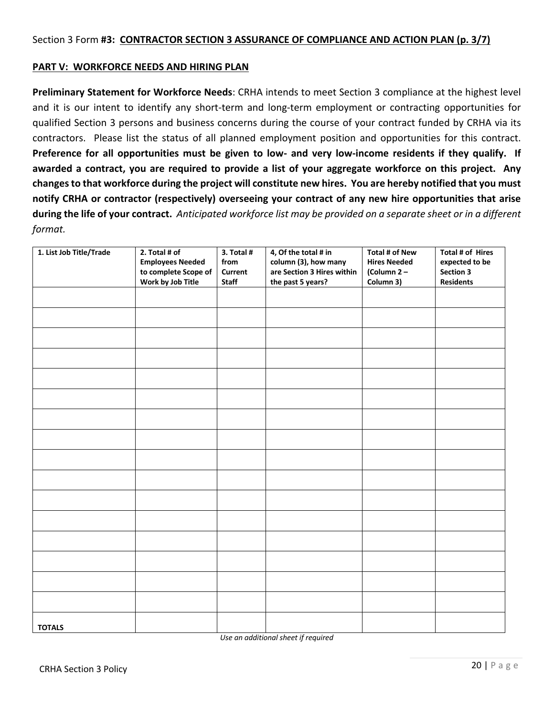#### **PART V: WORKFORCE NEEDS AND HIRING PLAN**

**Preliminary Statement for Workforce Needs**: CRHA intends to meet Section 3 compliance at the highest level and it is our intent to identify any short-term and long-term employment or contracting opportunities for qualified Section 3 persons and business concerns during the course of your contract funded by CRHA via its contractors. Please list the status of all planned employment position and opportunities for this contract. **Preference for all opportunities must be given to low- and very low-income residents if they qualify. If awarded a contract, you are required to provide a list of your aggregate workforce on this project. Any changes to that workforce during the project will constitute new hires. You are hereby notified that you must notify CRHA or contractor (respectively) overseeing your contract of any new hire opportunities that arise during the life of your contract.** *Anticipated workforce list may be provided on a separate sheet or in a different format.*

| 1. List Job Title/Trade | 2. Total # of<br><b>Employees Needed</b><br>to complete Scope of<br>Work by Job Title | 3. Total #<br>from<br>Current<br><b>Staff</b> | 4, Of the total # in<br>column (3), how many<br>are Section 3 Hires within<br>the past 5 years? | <b>Total # of New</b><br><b>Hires Needed</b><br>(Column 2-<br>Column 3) | Total # of Hires<br>expected to be<br>Section 3<br><b>Residents</b> |
|-------------------------|---------------------------------------------------------------------------------------|-----------------------------------------------|-------------------------------------------------------------------------------------------------|-------------------------------------------------------------------------|---------------------------------------------------------------------|
|                         |                                                                                       |                                               |                                                                                                 |                                                                         |                                                                     |
|                         |                                                                                       |                                               |                                                                                                 |                                                                         |                                                                     |
|                         |                                                                                       |                                               |                                                                                                 |                                                                         |                                                                     |
|                         |                                                                                       |                                               |                                                                                                 |                                                                         |                                                                     |
|                         |                                                                                       |                                               |                                                                                                 |                                                                         |                                                                     |
|                         |                                                                                       |                                               |                                                                                                 |                                                                         |                                                                     |
|                         |                                                                                       |                                               |                                                                                                 |                                                                         |                                                                     |
|                         |                                                                                       |                                               |                                                                                                 |                                                                         |                                                                     |
|                         |                                                                                       |                                               |                                                                                                 |                                                                         |                                                                     |
|                         |                                                                                       |                                               |                                                                                                 |                                                                         |                                                                     |
|                         |                                                                                       |                                               |                                                                                                 |                                                                         |                                                                     |
|                         |                                                                                       |                                               |                                                                                                 |                                                                         |                                                                     |
|                         |                                                                                       |                                               |                                                                                                 |                                                                         |                                                                     |
|                         |                                                                                       |                                               |                                                                                                 |                                                                         |                                                                     |
|                         |                                                                                       |                                               |                                                                                                 |                                                                         |                                                                     |
|                         |                                                                                       |                                               |                                                                                                 |                                                                         |                                                                     |
| <b>TOTALS</b>           |                                                                                       |                                               |                                                                                                 |                                                                         |                                                                     |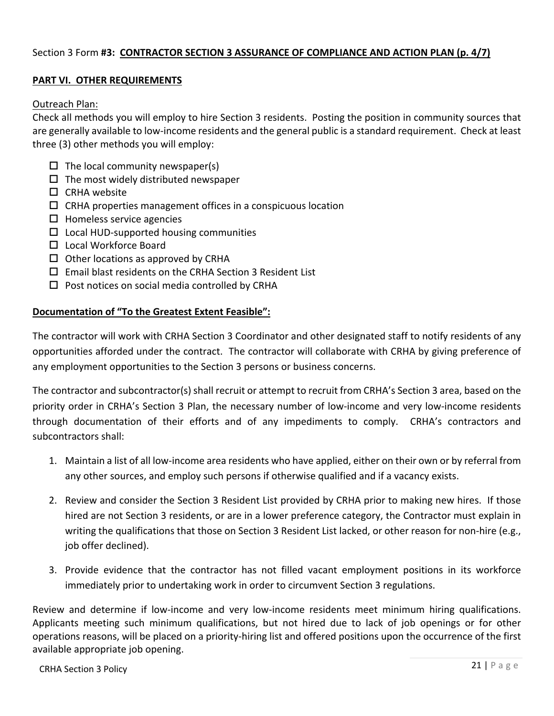#### Section 3 Form **#3: CONTRACTOR SECTION 3 ASSURANCE OF COMPLIANCE AND ACTION PLAN (p. 4/7)**

#### **PART VI. OTHER REQUIREMENTS**

#### Outreach Plan:

Check all methods you will employ to hire Section 3 residents. Posting the position in community sources that are generally available to low-income residents and the general public is a standard requirement. Check at least three (3) other methods you will employ:

- $\Box$  The local community newspaper(s)
- $\Box$  The most widely distributed newspaper
- $\Box$  CRHA website
- $\Box$  CRHA properties management offices in a conspicuous location
- $\square$  Homeless service agencies
- $\square$  Local HUD-supported housing communities
- $\square$  Local Workforce Board
- $\Box$  Other locations as approved by CRHA
- $\square$  Email blast residents on the CRHA Section 3 Resident List
- $\square$  Post notices on social media controlled by CRHA

#### **Documentation of "To the Greatest Extent Feasible":**

The contractor will work with CRHA Section 3 Coordinator and other designated staff to notify residents of any opportunities afforded under the contract. The contractor will collaborate with CRHA by giving preference of any employment opportunities to the Section 3 persons or business concerns.

The contractor and subcontractor(s) shall recruit or attempt to recruit from CRHA's Section 3 area, based on the priority order in CRHA's Section 3 Plan, the necessary number of low-income and very low-income residents through documentation of their efforts and of any impediments to comply. CRHA's contractors and subcontractors shall:

- 1. Maintain a list of all low-income area residents who have applied, either on their own or by referral from any other sources, and employ such persons if otherwise qualified and if a vacancy exists.
- 2. Review and consider the Section 3 Resident List provided by CRHA prior to making new hires. If those hired are not Section 3 residents, or are in a lower preference category, the Contractor must explain in writing the qualifications that those on Section 3 Resident List lacked, or other reason for non-hire (e.g., job offer declined).
- 3. Provide evidence that the contractor has not filled vacant employment positions in its workforce immediately prior to undertaking work in order to circumvent Section 3 regulations.

Review and determine if low-income and very low-income residents meet minimum hiring qualifications. Applicants meeting such minimum qualifications, but not hired due to lack of job openings or for other operations reasons, will be placed on a priority-hiring list and offered positions upon the occurrence of the first available appropriate job opening.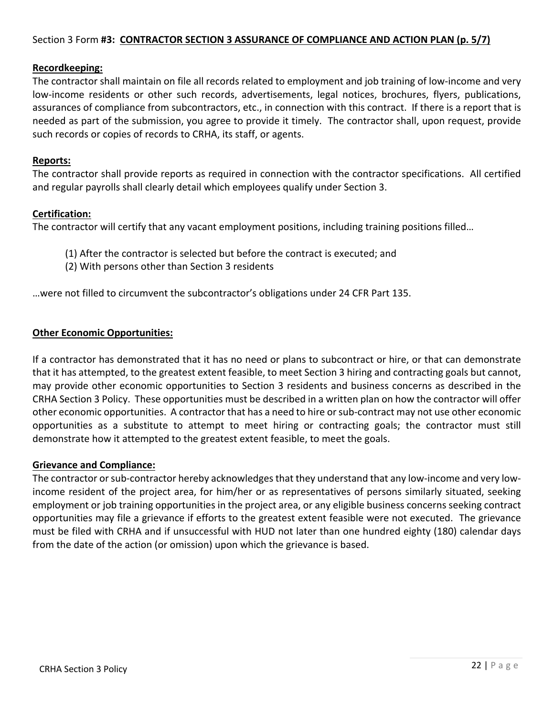#### Section 3 Form **#3: CONTRACTOR SECTION 3 ASSURANCE OF COMPLIANCE AND ACTION PLAN (p. 5/7)**

#### **Recordkeeping:**

The contractor shall maintain on file all records related to employment and job training of low-income and very low-income residents or other such records, advertisements, legal notices, brochures, flyers, publications, assurances of compliance from subcontractors, etc., in connection with this contract. If there is a report that is needed as part of the submission, you agree to provide it timely. The contractor shall, upon request, provide such records or copies of records to CRHA, its staff, or agents.

#### **Reports:**

The contractor shall provide reports as required in connection with the contractor specifications. All certified and regular payrolls shall clearly detail which employees qualify under Section 3.

#### **Certification:**

The contractor will certify that any vacant employment positions, including training positions filled…

- (1) After the contractor is selected but before the contract is executed; and
- (2) With persons other than Section 3 residents

…were not filled to circumvent the subcontractor's obligations under 24 CFR Part 135.

#### **Other Economic Opportunities:**

If a contractor has demonstrated that it has no need or plans to subcontract or hire, or that can demonstrate that it has attempted, to the greatest extent feasible, to meet Section 3 hiring and contracting goals but cannot, may provide other economic opportunities to Section 3 residents and business concerns as described in the CRHA Section 3 Policy. These opportunities must be described in a written plan on how the contractor will offer other economic opportunities. A contractor that has a need to hire or sub-contract may not use other economic opportunities as a substitute to attempt to meet hiring or contracting goals; the contractor must still demonstrate how it attempted to the greatest extent feasible, to meet the goals.

#### **Grievance and Compliance:**

The contractor or sub-contractor hereby acknowledges that they understand that any low-income and very lowincome resident of the project area, for him/her or as representatives of persons similarly situated, seeking employment or job training opportunities in the project area, or any eligible business concerns seeking contract opportunities may file a grievance if efforts to the greatest extent feasible were not executed. The grievance must be filed with CRHA and if unsuccessful with HUD not later than one hundred eighty (180) calendar days from the date of the action (or omission) upon which the grievance is based.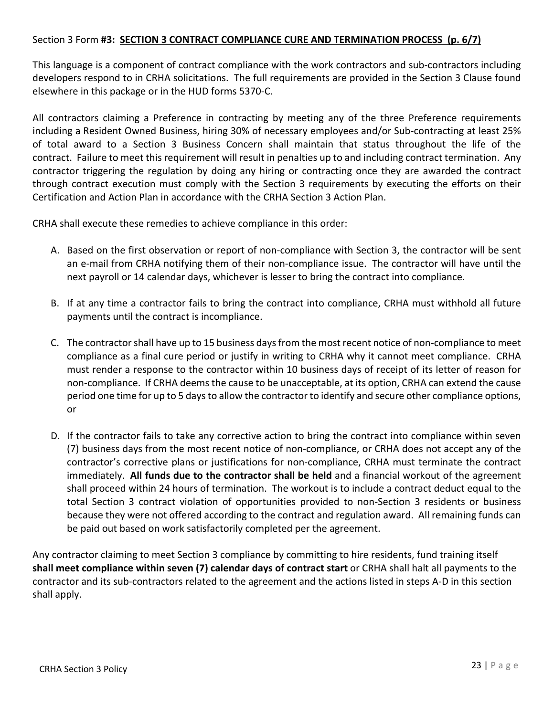#### Section 3 Form **#3: SECTION 3 CONTRACT COMPLIANCE CURE AND TERMINATION PROCESS (p. 6/7)**

This language is a component of contract compliance with the work contractors and sub-contractors including developers respond to in CRHA solicitations. The full requirements are provided in the Section 3 Clause found elsewhere in this package or in the HUD forms 5370-C.

All contractors claiming a Preference in contracting by meeting any of the three Preference requirements including a Resident Owned Business, hiring 30% of necessary employees and/or Sub-contracting at least 25% of total award to a Section 3 Business Concern shall maintain that status throughout the life of the contract. Failure to meet this requirement will result in penalties up to and including contract termination. Any contractor triggering the regulation by doing any hiring or contracting once they are awarded the contract through contract execution must comply with the Section 3 requirements by executing the efforts on their Certification and Action Plan in accordance with the CRHA Section 3 Action Plan.

CRHA shall execute these remedies to achieve compliance in this order:

- A. Based on the first observation or report of non-compliance with Section 3, the contractor will be sent an e-mail from CRHA notifying them of their non-compliance issue. The contractor will have until the next payroll or 14 calendar days, whichever is lesser to bring the contract into compliance.
- B. If at any time a contractor fails to bring the contract into compliance, CRHA must withhold all future payments until the contract is incompliance.
- C. The contractor shall have up to 15 business days from the most recent notice of non-compliance to meet compliance as a final cure period or justify in writing to CRHA why it cannot meet compliance. CRHA must render a response to the contractor within 10 business days of receipt of its letter of reason for non-compliance. If CRHA deems the cause to be unacceptable, at its option, CRHA can extend the cause period one time for up to 5 days to allow the contractor to identify and secure other compliance options, or
- D. If the contractor fails to take any corrective action to bring the contract into compliance within seven (7) business days from the most recent notice of non-compliance, or CRHA does not accept any of the contractor's corrective plans or justifications for non-compliance, CRHA must terminate the contract immediately. **All funds due to the contractor shall be held** and a financial workout of the agreement shall proceed within 24 hours of termination. The workout is to include a contract deduct equal to the total Section 3 contract violation of opportunities provided to non-Section 3 residents or business because they were not offered according to the contract and regulation award. All remaining funds can be paid out based on work satisfactorily completed per the agreement.

Any contractor claiming to meet Section 3 compliance by committing to hire residents, fund training itself **shall meet compliance within seven (7) calendar days of contract start** or CRHA shall halt all payments to the contractor and its sub-contractors related to the agreement and the actions listed in steps A-D in this section shall apply.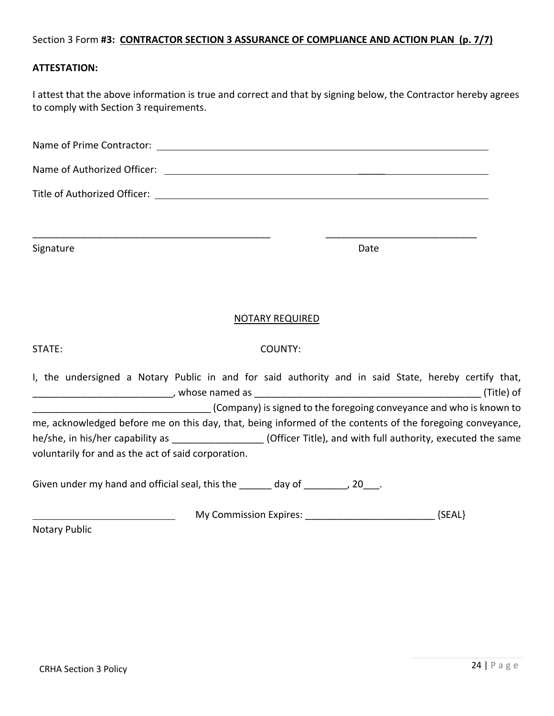#### Section 3 Form **#3: CONTRACTOR SECTION 3 ASSURANCE OF COMPLIANCE AND ACTION PLAN (p. 7/7)**

#### **ATTESTATION:**

I attest that the above information is true and correct and that by signing below, the Contractor hereby agrees to comply with Section 3 requirements.

| Signature                                                                                                                                                              |                        | Date                                                             |            |
|------------------------------------------------------------------------------------------------------------------------------------------------------------------------|------------------------|------------------------------------------------------------------|------------|
|                                                                                                                                                                        | <b>NOTARY REQUIRED</b> |                                                                  |            |
| STATE:                                                                                                                                                                 | COUNTY:                |                                                                  |            |
| I, the undersigned a Notary Public in and for said authority and in said State, hereby certify that,                                                                   |                        |                                                                  | (Title) of |
| Company) is signed to the foregoing conveyance and who is known to (Company) is signed to the foregoing conveyance and who is known to                                 |                        |                                                                  |            |
| me, acknowledged before me on this day, that, being informed of the contents of the foregoing conveyance,                                                              |                        |                                                                  |            |
| he/she, in his/her capability as ___________________(Officer Title), and with full authority, executed the same<br>voluntarily for and as the act of said corporation. |                        |                                                                  |            |
| Given under my hand and official seal, this the ______ day of ________, 20___.                                                                                         |                        |                                                                  |            |
|                                                                                                                                                                        |                        | My Commission Expires: __________________________________ {SEAL} |            |
| <b>Notary Public</b>                                                                                                                                                   |                        |                                                                  |            |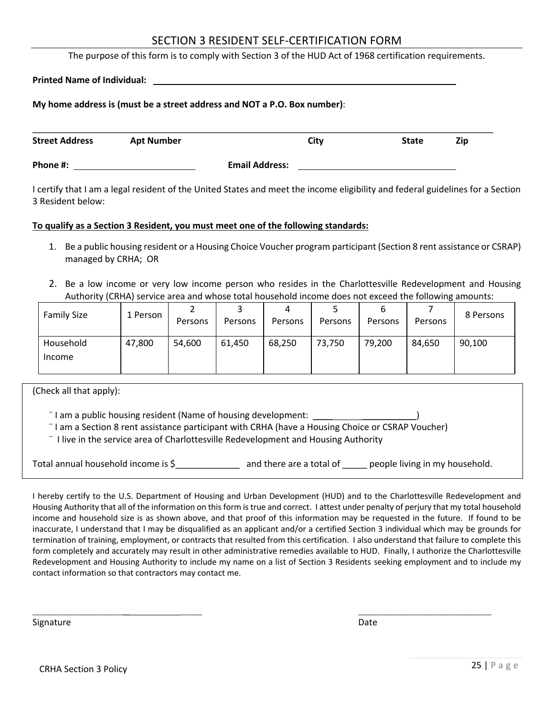#### SECTION 3 RESIDENT SELF-CERTIFICATION FORM

The purpose of this form is to comply with Section 3 of the HUD Act of 1968 certification requirements.

|  | <b>Printed Name of Individual:</b> |  |
|--|------------------------------------|--|
|  |                                    |  |

#### **My home address is (must be a street address and NOT a P.O. Box number)**:

| <b>Street Address</b> | <b>Apt Number</b> | City                  | <b>State</b> | Zip |
|-----------------------|-------------------|-----------------------|--------------|-----|
| Phone #:              |                   | <b>Email Address:</b> |              |     |

I certify that I am a legal resident of the United States and meet the income eligibility and federal guidelines for a Section 3 Resident below:

#### **To qualify as a Section 3 Resident, you must meet one of the following standards:**

- 1. Be a public housing resident or a Housing Choice Voucher program participant (Section 8 rent assistance or CSRAP) managed by CRHA; OR
- 2. Be a low income or very low income person who resides in the Charlottesville Redevelopment and Housing Authority (CRHA) service area and whose total household income does not exceed the following amounts:

| <b>Family Size</b>  | 1 Person | Persons | Persons | Persons | ے<br>Persons | Persons | Persons | 8 Persons |
|---------------------|----------|---------|---------|---------|--------------|---------|---------|-----------|
| Household<br>Income | 47,800   | 54,600  | 61,450  | 68,250  | 73,750       | 79,200  | 84,650  | 90,100    |

(Check all that apply):

¨ I am a public housing resident (Name of housing development: \_\_\_\_ \_\_\_\_\_\_\_\_\_\_\_)

- ¨ I am a Section 8 rent assistance participant with CRHA (have a Housing Choice or CSRAP Voucher)
- ¨ I live in the service area of Charlottesville Redevelopment and Housing Authority

Total annual household income is \$\_\_\_\_\_\_\_\_\_\_\_\_\_ and there are a total of \_\_\_\_\_ people living in my household.

\_\_\_\_\_\_\_\_\_\_\_\_\_\_\_\_\_\_\_\_\_\_\_\_\_\_\_ \_\_\_\_\_\_ \_\_\_\_\_\_\_\_\_\_\_\_\_\_\_\_\_\_\_\_\_\_\_\_\_\_\_\_\_\_\_\_\_\_\_\_\_

I hereby certify to the U.S. Department of Housing and Urban Development (HUD) and to the Charlottesville Redevelopment and Housing Authority that all of the information on this form is true and correct. I attest under penalty of perjury that my total household income and household size is as shown above, and that proof of this information may be requested in the future. If found to be inaccurate, I understand that I may be disqualified as an applicant and/or a certified Section 3 individual which may be grounds for termination of training, employment, or contracts that resulted from this certification. I also understand that failure to complete this form completely and accurately may result in other administrative remedies available to HUD. Finally, I authorize the Charlottesville Redevelopment and Housing Authority to include my name on a list of Section 3 Residents seeking employment and to include my contact information so that contractors may contact me.

Signature **Date**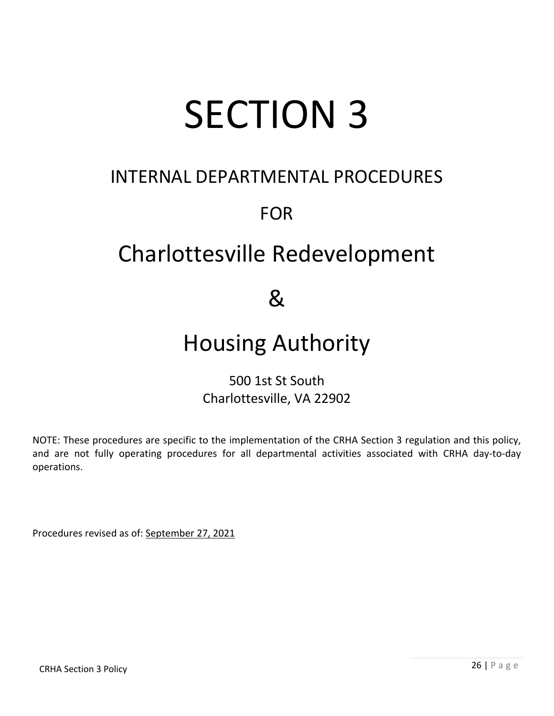# SECTION 3

## INTERNAL DEPARTMENTAL PROCEDURES

## FOR

# Charlottesville Redevelopment

 $\mathcal{R}_{\mathcal{L}}$ 

## Housing Authority

### 500 1st St South Charlottesville, VA 22902

NOTE: These procedures are specific to the implementation of the CRHA Section 3 regulation and this policy, and are not fully operating procedures for all departmental activities associated with CRHA day-to-day operations.

Procedures revised as of: September 27, 2021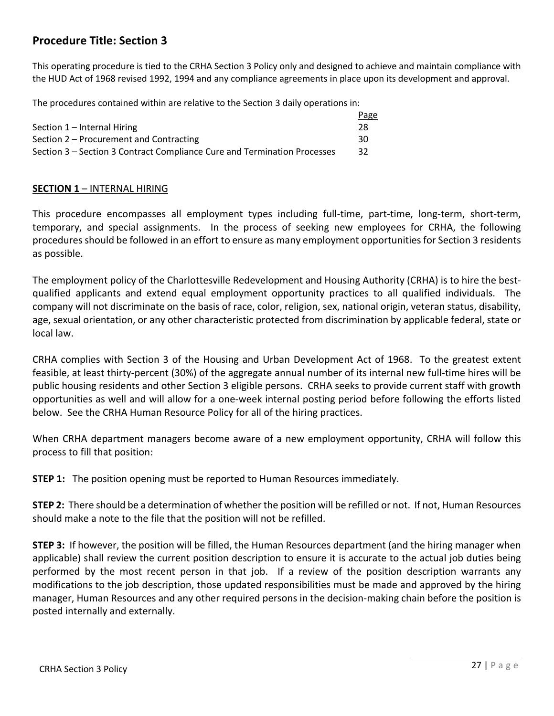#### **Procedure Title: Section 3**

This operating procedure is tied to the CRHA Section 3 Policy only and designed to achieve and maintain compliance with the HUD Act of 1968 revised 1992, 1994 and any compliance agreements in place upon its development and approval.

The procedures contained within are relative to the Section 3 daily operations in:

|                                                                          | <b>Page</b> |
|--------------------------------------------------------------------------|-------------|
| Section 1 – Internal Hiring                                              | 28          |
| Section 2 – Procurement and Contracting                                  | 30          |
| Section 3 – Section 3 Contract Compliance Cure and Termination Processes | 32          |

#### **SECTION 1** – INTERNAL HIRING

This procedure encompasses all employment types including full-time, part-time, long-term, short-term, temporary, and special assignments. In the process of seeking new employees for CRHA, the following procedures should be followed in an effort to ensure as many employment opportunities for Section 3 residents as possible.

The employment policy of the Charlottesville Redevelopment and Housing Authority (CRHA) is to hire the bestqualified applicants and extend equal employment opportunity practices to all qualified individuals. The company will not discriminate on the basis of race, color, religion, sex, national origin, veteran status, disability, age, sexual orientation, or any other characteristic protected from discrimination by applicable federal, state or local law.

CRHA complies with Section 3 of the Housing and Urban Development Act of 1968. To the greatest extent feasible, at least thirty-percent (30%) of the aggregate annual number of its internal new full-time hires will be public housing residents and other Section 3 eligible persons. CRHA seeks to provide current staff with growth opportunities as well and will allow for a one-week internal posting period before following the efforts listed below. See the CRHA Human Resource Policy for all of the hiring practices.

When CRHA department managers become aware of a new employment opportunity, CRHA will follow this process to fill that position:

**STEP 1:** The position opening must be reported to Human Resources immediately.

**STEP 2:** There should be a determination of whether the position will be refilled or not. If not, Human Resources should make a note to the file that the position will not be refilled.

**STEP 3:** If however, the position will be filled, the Human Resources department (and the hiring manager when applicable) shall review the current position description to ensure it is accurate to the actual job duties being performed by the most recent person in that job. If a review of the position description warrants any modifications to the job description, those updated responsibilities must be made and approved by the hiring manager, Human Resources and any other required persons in the decision-making chain before the position is posted internally and externally.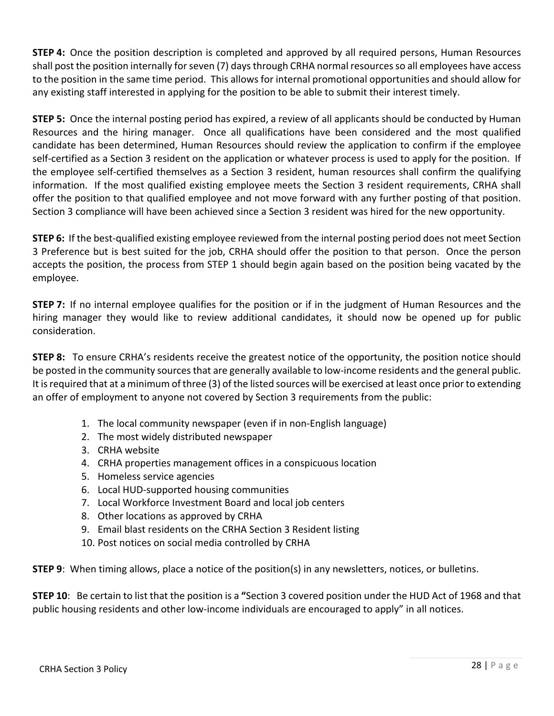**STEP 4:** Once the position description is completed and approved by all required persons, Human Resources shall post the position internally for seven (7) days through CRHA normal resources so all employees have access to the position in the same time period. This allows for internal promotional opportunities and should allow for any existing staff interested in applying for the position to be able to submit their interest timely.

**STEP 5:** Once the internal posting period has expired, a review of all applicants should be conducted by Human Resources and the hiring manager. Once all qualifications have been considered and the most qualified candidate has been determined, Human Resources should review the application to confirm if the employee self-certified as a Section 3 resident on the application or whatever process is used to apply for the position. If the employee self-certified themselves as a Section 3 resident, human resources shall confirm the qualifying information. If the most qualified existing employee meets the Section 3 resident requirements, CRHA shall offer the position to that qualified employee and not move forward with any further posting of that position. Section 3 compliance will have been achieved since a Section 3 resident was hired for the new opportunity.

**STEP 6:** If the best-qualified existing employee reviewed from the internal posting period does not meet Section 3 Preference but is best suited for the job, CRHA should offer the position to that person. Once the person accepts the position, the process from STEP 1 should begin again based on the position being vacated by the employee.

**STEP 7:** If no internal employee qualifies for the position or if in the judgment of Human Resources and the hiring manager they would like to review additional candidates, it should now be opened up for public consideration.

**STEP 8:** To ensure CRHA's residents receive the greatest notice of the opportunity, the position notice should be posted in the community sources that are generally available to low-income residents and the general public. It is required that at a minimum of three (3) of the listed sources will be exercised at least once prior to extending an offer of employment to anyone not covered by Section 3 requirements from the public:

- 1. The local community newspaper (even if in non-English language)
- 2. The most widely distributed newspaper
- 3. CRHA website
- 4. CRHA properties management offices in a conspicuous location
- 5. Homeless service agencies
- 6. Local HUD-supported housing communities
- 7. Local Workforce Investment Board and local job centers
- 8. Other locations as approved by CRHA
- 9. Email blast residents on the CRHA Section 3 Resident listing
- 10. Post notices on social media controlled by CRHA

**STEP 9**: When timing allows, place a notice of the position(s) in any newsletters, notices, or bulletins.

**STEP 10**: Be certain to list that the position is a **"**Section 3 covered position under the HUD Act of 1968 and that public housing residents and other low-income individuals are encouraged to apply" in all notices.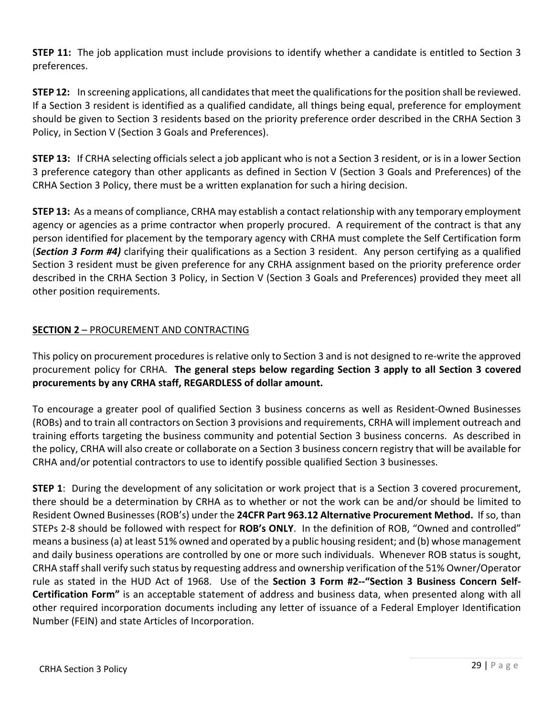**STEP 11:** The job application must include provisions to identify whether a candidate is entitled to Section 3 preferences.

**STEP 12:** In screening applications, all candidates that meet the qualifications for the position shall be reviewed. If a Section 3 resident is identified as a qualified candidate, all things being equal, preference for employment should be given to Section 3 residents based on the priority preference order described in the CRHA Section 3 Policy, in Section V (Section 3 Goals and Preferences).

**STEP 13:** If CRHA selecting officials select a job applicant who is not a Section 3 resident, or is in a lower Section 3 preference category than other applicants as defined in Section V (Section 3 Goals and Preferences) of the CRHA Section 3 Policy, there must be a written explanation for such a hiring decision.

**STEP 13:** As a means of compliance, CRHA may establish a contact relationship with any temporary employment agency or agencies as a prime contractor when properly procured. A requirement of the contract is that any person identified for placement by the temporary agency with CRHA must complete the Self Certification form (*Section 3 Form #4)* clarifying their qualifications as a Section 3 resident. Any person certifying as a qualified Section 3 resident must be given preference for any CRHA assignment based on the priority preference order described in the CRHA Section 3 Policy, in Section V (Section 3 Goals and Preferences) provided they meet all other position requirements.

#### **SECTION 2** – PROCUREMENT AND CONTRACTING

This policy on procurement procedures is relative only to Section 3 and is not designed to re-write the approved procurement policy for CRHA. **The general steps below regarding Section 3 apply to all Section 3 covered procurements by any CRHA staff, REGARDLESS of dollar amount.**

To encourage a greater pool of qualified Section 3 business concerns as well as Resident-Owned Businesses (ROBs) and to train all contractors on Section 3 provisions and requirements, CRHA will implement outreach and training efforts targeting the business community and potential Section 3 business concerns. As described in the policy, CRHA will also create or collaborate on a Section 3 business concern registry that will be available for CRHA and/or potential contractors to use to identify possible qualified Section 3 businesses.

**STEP 1**: During the development of any solicitation or work project that is a Section 3 covered procurement, there should be a determination by CRHA as to whether or not the work can be and/or should be limited to Resident Owned Businesses (ROB's) under the **24CFR Part 963.12 Alternative Procurement Method.** If so, than STEPs 2-8 should be followed with respect for **ROB's ONLY**. In the definition of ROB, "Owned and controlled" means a business (a) at least 51% owned and operated by a public housing resident; and (b) whose management and daily business operations are controlled by one or more such individuals. Whenever ROB status is sought, CRHA staff shall verify such status by requesting address and ownership verification of the 51% Owner/Operator rule as stated in the HUD Act of 1968. Use of the **Section 3 Form #2--"Section 3 Business Concern Self-Certification Form"** is an acceptable statement of address and business data, when presented along with all other required incorporation documents including any letter of issuance of a Federal Employer Identification Number (FEIN) and state Articles of Incorporation.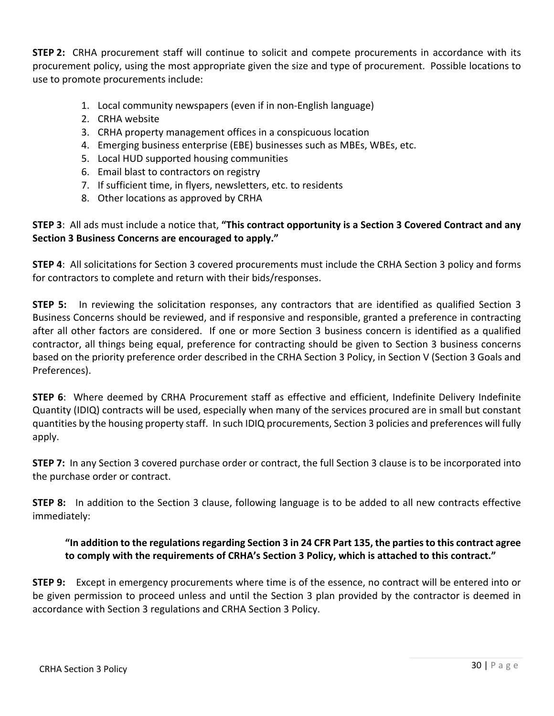**STEP 2:** CRHA procurement staff will continue to solicit and compete procurements in accordance with its procurement policy, using the most appropriate given the size and type of procurement. Possible locations to use to promote procurements include:

- 1. Local community newspapers (even if in non-English language)
- 2. CRHA website
- 3. CRHA property management offices in a conspicuous location
- 4. Emerging business enterprise (EBE) businesses such as MBEs, WBEs, etc.
- 5. Local HUD supported housing communities
- 6. Email blast to contractors on registry
- 7. If sufficient time, in flyers, newsletters, etc. to residents
- 8. Other locations as approved by CRHA

#### **STEP 3**: All ads must include a notice that, **"This contract opportunity is a Section 3 Covered Contract and any Section 3 Business Concerns are encouraged to apply."**

**STEP 4**: All solicitations for Section 3 covered procurements must include the CRHA Section 3 policy and forms for contractors to complete and return with their bids/responses.

**STEP 5:** In reviewing the solicitation responses, any contractors that are identified as qualified Section 3 Business Concerns should be reviewed, and if responsive and responsible, granted a preference in contracting after all other factors are considered. If one or more Section 3 business concern is identified as a qualified contractor, all things being equal, preference for contracting should be given to Section 3 business concerns based on the priority preference order described in the CRHA Section 3 Policy, in Section V (Section 3 Goals and Preferences).

**STEP 6**: Where deemed by CRHA Procurement staff as effective and efficient, Indefinite Delivery Indefinite Quantity (IDIQ) contracts will be used, especially when many of the services procured are in small but constant quantities by the housing property staff. In such IDIQ procurements, Section 3 policies and preferences will fully apply.

**STEP 7:** In any Section 3 covered purchase order or contract, the full Section 3 clause is to be incorporated into the purchase order or contract.

**STEP 8:** In addition to the Section 3 clause, following language is to be added to all new contracts effective immediately:

#### **"In addition to the regulations regarding Section 3 in 24 CFR Part 135, the parties to this contract agree to comply with the requirements of CRHA's Section 3 Policy, which is attached to this contract."**

**STEP 9:** Except in emergency procurements where time is of the essence, no contract will be entered into or be given permission to proceed unless and until the Section 3 plan provided by the contractor is deemed in accordance with Section 3 regulations and CRHA Section 3 Policy.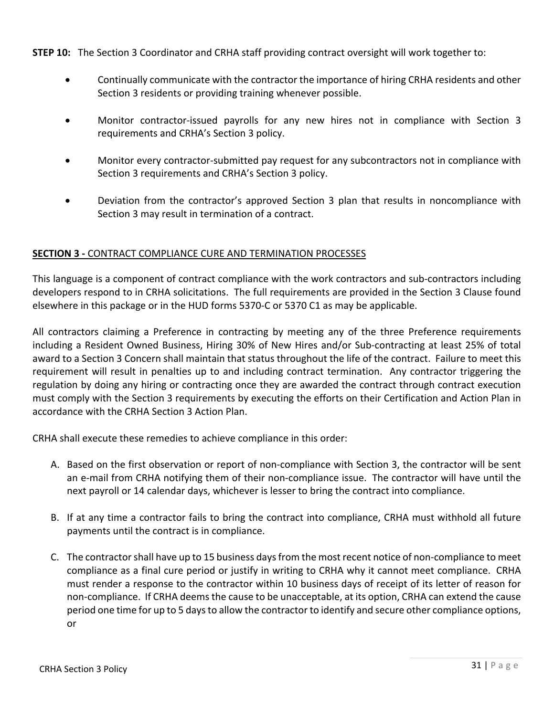**STEP 10:** The Section 3 Coordinator and CRHA staff providing contract oversight will work together to:

- Continually communicate with the contractor the importance of hiring CRHA residents and other Section 3 residents or providing training whenever possible.
- Monitor contractor-issued payrolls for any new hires not in compliance with Section 3 requirements and CRHA's Section 3 policy.
- Monitor every contractor-submitted pay request for any subcontractors not in compliance with Section 3 requirements and CRHA's Section 3 policy.
- Deviation from the contractor's approved Section 3 plan that results in noncompliance with Section 3 may result in termination of a contract.

#### **SECTION 3 -** CONTRACT COMPLIANCE CURE AND TERMINATION PROCESSES

This language is a component of contract compliance with the work contractors and sub-contractors including developers respond to in CRHA solicitations. The full requirements are provided in the Section 3 Clause found elsewhere in this package or in the HUD forms 5370-C or 5370 C1 as may be applicable.

All contractors claiming a Preference in contracting by meeting any of the three Preference requirements including a Resident Owned Business, Hiring 30% of New Hires and/or Sub-contracting at least 25% of total award to a Section 3 Concern shall maintain that status throughout the life of the contract. Failure to meet this requirement will result in penalties up to and including contract termination. Any contractor triggering the regulation by doing any hiring or contracting once they are awarded the contract through contract execution must comply with the Section 3 requirements by executing the efforts on their Certification and Action Plan in accordance with the CRHA Section 3 Action Plan.

CRHA shall execute these remedies to achieve compliance in this order:

- A. Based on the first observation or report of non-compliance with Section 3, the contractor will be sent an e-mail from CRHA notifying them of their non-compliance issue. The contractor will have until the next payroll or 14 calendar days, whichever is lesser to bring the contract into compliance.
- B. If at any time a contractor fails to bring the contract into compliance, CRHA must withhold all future payments until the contract is in compliance.
- C. The contractor shall have up to 15 business days from the most recent notice of non-compliance to meet compliance as a final cure period or justify in writing to CRHA why it cannot meet compliance. CRHA must render a response to the contractor within 10 business days of receipt of its letter of reason for non-compliance. If CRHA deems the cause to be unacceptable, at its option, CRHA can extend the cause period one time for up to 5 days to allow the contractor to identify and secure other compliance options, or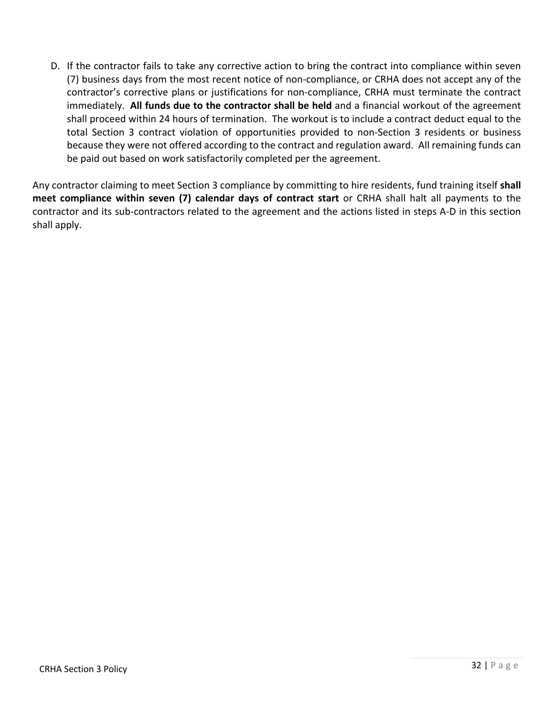D. If the contractor fails to take any corrective action to bring the contract into compliance within seven (7) business days from the most recent notice of non-compliance, or CRHA does not accept any of the contractor's corrective plans or justifications for non-compliance, CRHA must terminate the contract immediately. **All funds due to the contractor shall be held** and a financial workout of the agreement shall proceed within 24 hours of termination. The workout is to include a contract deduct equal to the total Section 3 contract violation of opportunities provided to non-Section 3 residents or business because they were not offered according to the contract and regulation award. All remaining funds can be paid out based on work satisfactorily completed per the agreement.

Any contractor claiming to meet Section 3 compliance by committing to hire residents, fund training itself **shall meet compliance within seven (7) calendar days of contract start** or CRHA shall halt all payments to the contractor and its sub-contractors related to the agreement and the actions listed in steps A-D in this section shall apply.